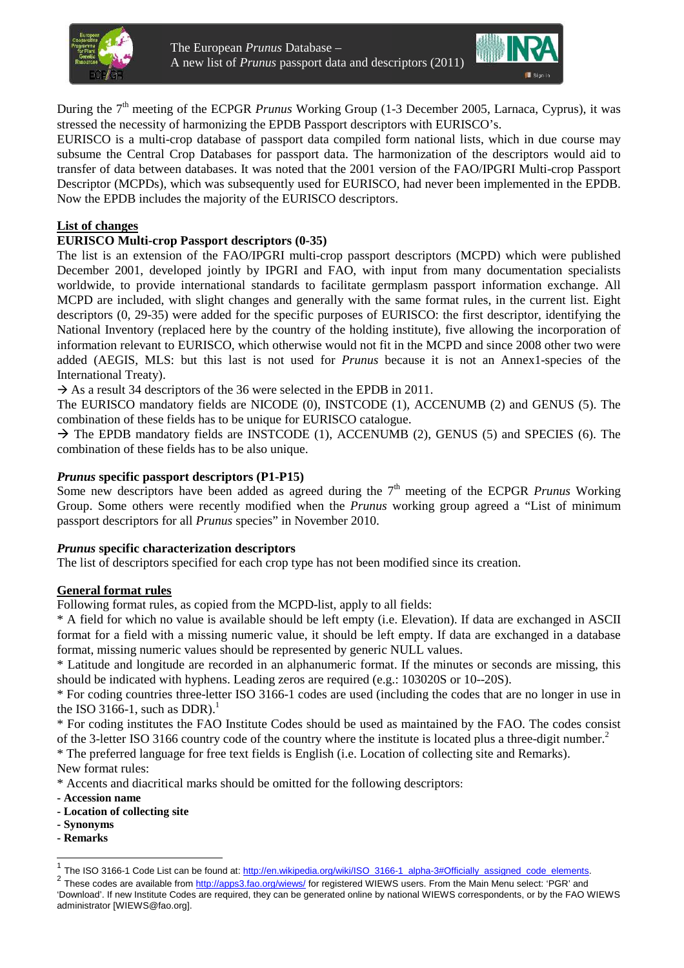

During the 7<sup>th</sup> meeting of the ECPGR *Prunus* Working Group (1-3 December 2005, Larnaca, Cyprus), it was stressed the necessity of harmonizing the EPDB Passport descriptors with EURISCO's.

EURISCO is a multi-crop database of passport data compiled form national lists, which in due course may subsume the Central Crop Databases for passport data. The harmonization of the descriptors would aid to transfer of data between databases. It was noted that the 2001 version of the FAO/IPGRI Multi-crop Passport Descriptor (MCPDs), which was subsequently used for EURISCO, had never been implemented in the EPDB. Now the EPDB includes the majority of the EURISCO descriptors.

#### **List of changes**

#### **EURISCO Multi-crop Passport descriptors (0-35)**

The list is an extension of the FAO/IPGRI multi-crop passport descriptors (MCPD) which were published December 2001, developed jointly by IPGRI and FAO, with input from many documentation specialists worldwide, to provide international standards to facilitate germplasm passport information exchange. All MCPD are included, with slight changes and generally with the same format rules, in the current list. Eight descriptors (0, 29-35) were added for the specific purposes of EURISCO: the first descriptor, identifying the National Inventory (replaced here by the country of the holding institute), five allowing the incorporation of information relevant to EURISCO, which otherwise would not fit in the MCPD and since 2008 other two were added (AEGIS, MLS: but this last is not used for *Prunus* because it is not an Annex1-species of the International Treaty).

 $\rightarrow$  As a result 34 descriptors of the 36 were selected in the EPDB in 2011.

The EURISCO mandatory fields are NICODE (0), INSTCODE (1), ACCENUMB (2) and GENUS (5). The combination of these fields has to be unique for EURISCO catalogue.

 $\rightarrow$  The EPDB mandatory fields are INSTCODE (1), ACCENUMB (2), GENUS (5) and SPECIES (6). The combination of these fields has to be also unique.

#### *Prunus* **specific passport descriptors (P1-P15)**

Some new descriptors have been added as agreed during the  $7<sup>th</sup>$  meeting of the ECPGR *Prunus* Working Group. Some others were recently modified when the *Prunus* working group agreed a "List of minimum passport descriptors for all *Prunus* species" in November 2010.

#### *Prunus* **specific characterization descriptors**

The list of descriptors specified for each crop type has not been modified since its creation.

#### **General format rules**

Following format rules, as copied from the MCPD-list, apply to all fields:

\* A field for which no value is available should be left empty (i.e. Elevation). If data are exchanged in ASCII format for a field with a missing numeric value, it should be left empty. If data are exchanged in a database format, missing numeric values should be represented by generic NULL values.

\* Latitude and longitude are recorded in an alphanumeric format. If the minutes or seconds are missing, this should be indicated with hyphens. Leading zeros are required (e.g.: 103020S or 10--20S).

\* For coding countries three-letter ISO 3166-1 codes are used (including the codes that are no longer in use in the ISO 3166-1, such as  $DDR$ .<sup>1</sup>

\* For coding institutes the FAO Institute Codes should be used as maintained by the FAO. The codes consist of the 3-letter ISO 3166 country code of the country where the institute is located plus a three-digit number.<sup>2</sup>

\* The preferred language for free text fields is English (i.e. Location of collecting site and Remarks). New format rules:

\* Accents and diacritical marks should be omitted for the following descriptors:

- **Accession name**
- **Location of collecting site**
- **Synonyms**
- **Remarks**

<sup>1&</sup>lt;br>The ISO 3166-1 Code List can be found at: <u>http://en.wikipedia.org/wiki/ISO\_3166-1\_alpha-3#Officially\_assigned\_code\_elements</u>.

<sup>&</sup>lt;sup>2</sup> These codes are available from http://apps3.fao.org/wiews/ for registered WIEWS users. From the Main Menu select: 'PGR' and 'Download'. If new Institute Codes are required, they can be generated online by national WIEWS correspondents, or by the FAO WIEWS administrator [WIEWS@fao.org].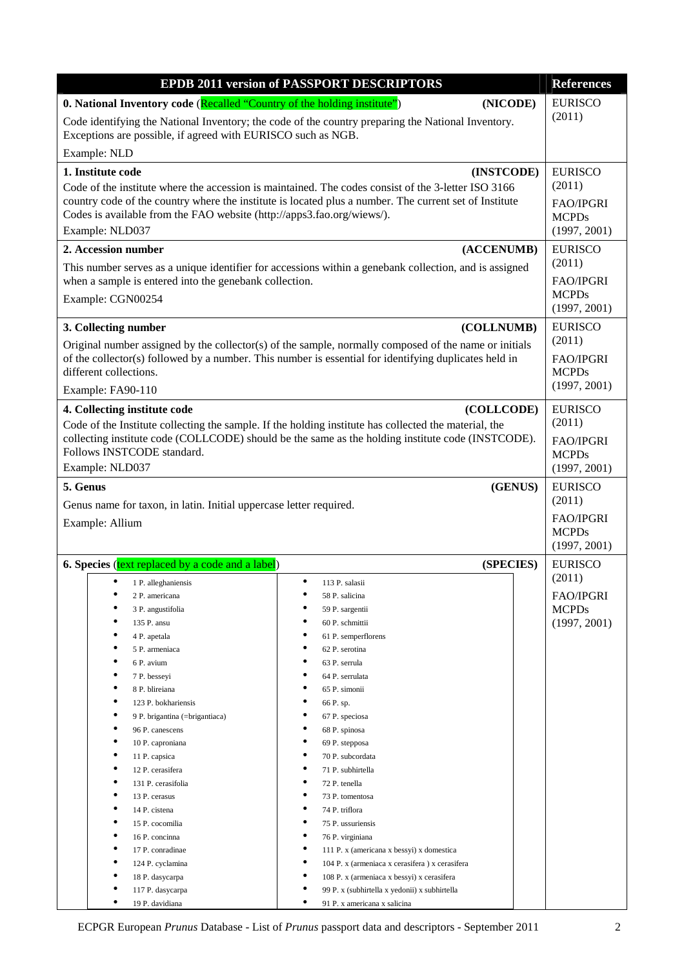|                                                                             | <b>EPDB 2011 version of PASSPORT DESCRIPTORS</b>                                                                                                                                                               | <b>References</b>            |
|-----------------------------------------------------------------------------|----------------------------------------------------------------------------------------------------------------------------------------------------------------------------------------------------------------|------------------------------|
| 0. National Inventory code (Recalled "Country of the holding institute")    | (NICODE)                                                                                                                                                                                                       | <b>EURISCO</b>               |
| Exceptions are possible, if agreed with EURISCO such as NGB.                | Code identifying the National Inventory; the code of the country preparing the National Inventory.                                                                                                             | (2011)                       |
| Example: NLD                                                                |                                                                                                                                                                                                                |                              |
|                                                                             |                                                                                                                                                                                                                |                              |
| 1. Institute code                                                           | (INSTCODE)                                                                                                                                                                                                     | <b>EURISCO</b><br>(2011)     |
| Codes is available from the FAO website (http://apps3.fao.org/wiews/).      | Code of the institute where the accession is maintained. The codes consist of the 3-letter ISO 3166<br>country code of the country where the institute is located plus a number. The current set of Institute  | FAO/IPGRI<br><b>MCPDs</b>    |
| Example: NLD037                                                             |                                                                                                                                                                                                                | (1997, 2001)                 |
| 2. Accession number                                                         | (ACCENUMB)                                                                                                                                                                                                     | <b>EURISCO</b>               |
|                                                                             | This number serves as a unique identifier for accessions within a genebank collection, and is assigned                                                                                                         | (2011)                       |
| when a sample is entered into the genebank collection.<br>Example: CGN00254 |                                                                                                                                                                                                                | FAO/IPGRI<br><b>MCPDs</b>    |
|                                                                             |                                                                                                                                                                                                                | (1997, 2001)                 |
| 3. Collecting number                                                        | (COLLNUMB)                                                                                                                                                                                                     | <b>EURISCO</b><br>(2011)     |
|                                                                             | Original number assigned by the collector(s) of the sample, normally composed of the name or initials<br>of the collector(s) followed by a number. This number is essential for identifying duplicates held in | <b>FAO/IPGRI</b>             |
| different collections.                                                      |                                                                                                                                                                                                                | <b>MCPDs</b>                 |
| Example: FA90-110                                                           |                                                                                                                                                                                                                | (1997, 2001)                 |
|                                                                             |                                                                                                                                                                                                                |                              |
| 4. Collecting institute code                                                | (COLLCODE)<br>Code of the Institute collecting the sample. If the holding institute has collected the material, the                                                                                            | <b>EURISCO</b><br>(2011)     |
|                                                                             | collecting institute code (COLLCODE) should be the same as the holding institute code (INSTCODE).                                                                                                              | <b>FAO/IPGRI</b>             |
| Follows INSTCODE standard.                                                  |                                                                                                                                                                                                                | <b>MCPDs</b>                 |
| Example: NLD037                                                             |                                                                                                                                                                                                                |                              |
| 5. Genus                                                                    | (GENUS)                                                                                                                                                                                                        | <b>EURISCO</b>               |
| Genus name for taxon, in latin. Initial uppercase letter required.          |                                                                                                                                                                                                                | (2011)                       |
| Example: Allium                                                             |                                                                                                                                                                                                                | <b>FAO/IPGRI</b>             |
|                                                                             |                                                                                                                                                                                                                | <b>MCPDs</b>                 |
|                                                                             |                                                                                                                                                                                                                | (1997, 2001)                 |
| <b>6. Species</b> (text replaced by a code and a label)                     | (SPECIES)                                                                                                                                                                                                      | <b>EURISCO</b>               |
| $\bullet$<br>1 P. alleghaniensis                                            | $\bullet$<br>113 P. salasii                                                                                                                                                                                    | (2011)                       |
| 2 P. americana                                                              | 58 P. salicina                                                                                                                                                                                                 | <b>FAO/IPGRI</b>             |
| 3 P. angustifolia<br>135 P. ansu                                            | 59 P. sargentii<br>60 P. schmittii                                                                                                                                                                             | <b>MCPDs</b><br>(1997, 2001) |
| 4 P. apetala                                                                | 61 P. semperflorens                                                                                                                                                                                            |                              |
| 5 P. armeniaca                                                              | 62 P. serotina                                                                                                                                                                                                 |                              |
| 6 P. avium                                                                  | 63 P. serrula                                                                                                                                                                                                  |                              |
| 7 P. besseyi                                                                | 64 P. serrulata                                                                                                                                                                                                |                              |
| 8 P. blireiana                                                              | 65 P. simonii                                                                                                                                                                                                  |                              |
| 123 P. bokhariensis                                                         | 66 P. sp.                                                                                                                                                                                                      |                              |
| 9 P. brigantina (=brigantiaca)                                              | 67 P. speciosa                                                                                                                                                                                                 |                              |
| 96 P. canescens<br>10 P. caproniana                                         | 68 P. spinosa<br>69 P. stepposa                                                                                                                                                                                |                              |
| 11 P. capsica                                                               | 70 P. subcordata                                                                                                                                                                                               |                              |
| 12 P. cerasifera                                                            | 71 P. subhirtella                                                                                                                                                                                              |                              |
| 131 P. cerasifolia                                                          | 72 P. tenella                                                                                                                                                                                                  |                              |
| 13 P. cerasus                                                               | 73 P. tomentosa                                                                                                                                                                                                |                              |
| 14 P. cistena                                                               | 74 P. triflora                                                                                                                                                                                                 |                              |
| 15 P. cocomilia<br>16 P. concinna                                           | 75 P. ussuriensis<br>76 P. virginiana                                                                                                                                                                          |                              |
| 17 P. conradinae                                                            | 111 P. x (americana x bessyi) x domestica                                                                                                                                                                      |                              |
| 124 P. cyclamina                                                            | 104 P. x (armeniaca x cerasifera) x cerasifera                                                                                                                                                                 |                              |
| 18 P. dasycarpa                                                             | 108 P. x (armeniaca x bessyi) x cerasifera                                                                                                                                                                     |                              |
| 117 P. dasycarpa                                                            | 99 P. x (subhirtella x yedonii) x subhirtella                                                                                                                                                                  |                              |
| 19 P. davidiana                                                             | 91 P. x americana x salicina                                                                                                                                                                                   |                              |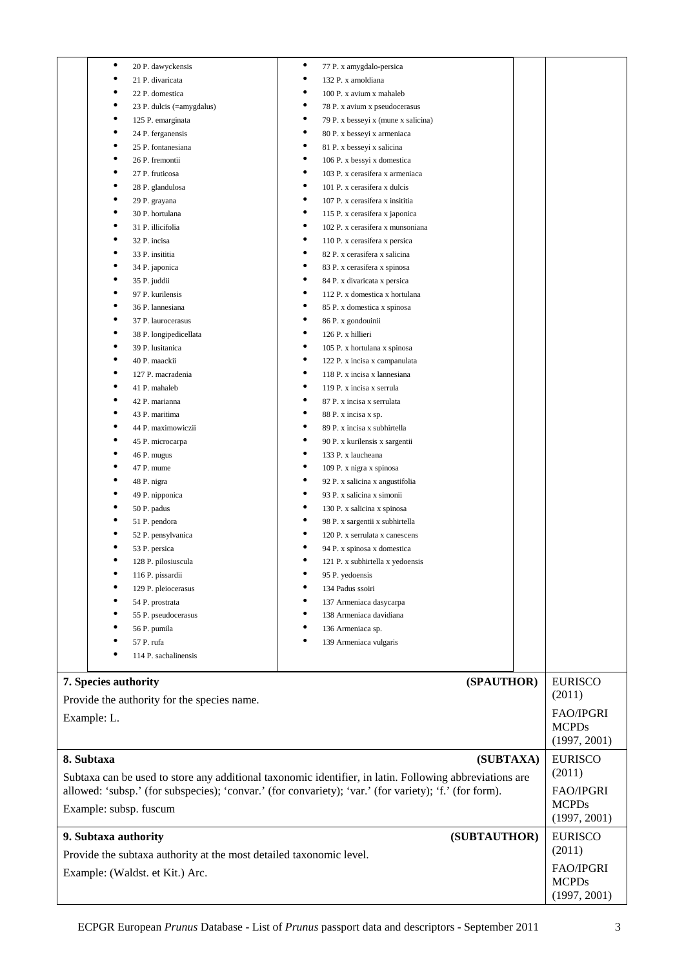|                      | 20 P. dawyckensis                                                   | ٠ | 77 P. x amygdalo-persica                                                                                |                          |
|----------------------|---------------------------------------------------------------------|---|---------------------------------------------------------------------------------------------------------|--------------------------|
| ٠                    | 21 P. divaricata                                                    |   | 132 P. x arnoldiana                                                                                     |                          |
| ٠                    | 22 P. domestica                                                     |   | 100 P. x avium x mahaleb                                                                                |                          |
| 0                    | 23 P. dulcis (=amygdalus)                                           |   | 78 P. x avium x pseudocerasus                                                                           |                          |
| 0                    | 125 P. emarginata                                                   |   | 79 P. x besseyi x (mune x salicina)                                                                     |                          |
| $\bullet$            | 24 P. ferganensis                                                   |   | 80 P. x besseyi x armeniaca                                                                             |                          |
| $\bullet$            | 25 P. fontanesiana                                                  |   | 81 P. x besseyi x salicina                                                                              |                          |
| ٠                    | 26 P. fremontii                                                     |   | 106 P. x bessyi x domestica                                                                             |                          |
| c                    | 27 P. fruticosa                                                     |   | 103 P. x cerasifera x armeniaca                                                                         |                          |
|                      | 28 P. glandulosa                                                    |   | 101 P. x cerasifera x dulcis                                                                            |                          |
| 0                    | 29 P. grayana                                                       |   | 107 P. x cerasifera x insititia                                                                         |                          |
|                      | 30 P. hortulana                                                     |   | 115 P. x cerasifera x japonica                                                                          |                          |
|                      | 31 P. illicifolia                                                   |   | 102 P. x cerasifera x munsoniana                                                                        |                          |
|                      | 32 P. incisa                                                        |   | 110 P. x cerasifera x persica                                                                           |                          |
| ٠                    | 33 P. insititia                                                     |   | 82 P. x cerasifera x salicina                                                                           |                          |
| ٠                    | 34 P. japonica                                                      |   | 83 P. x cerasifera x spinosa                                                                            |                          |
|                      | 35 P. juddii                                                        |   | 84 P. x divaricata x persica                                                                            |                          |
| 0                    | 97 P. kurilensis                                                    |   | 112 P. x domestica x hortulana                                                                          |                          |
| $\bullet$            | 36 P. lannesiana                                                    |   | 85 P. x domestica x spinosa                                                                             |                          |
|                      | 37 P. laurocerasus                                                  |   | 86 P. x gondouinii                                                                                      |                          |
| 0                    | 38 P. longipedicellata                                              |   | 126 P. x hillieri                                                                                       |                          |
| ٠                    | 39 P. lusitanica                                                    |   | 105 P. x hortulana x spinosa                                                                            |                          |
| $\bullet$            | 40 P. maackii                                                       |   | 122 P. x incisa x campanulata                                                                           |                          |
| ٠                    | 127 P. macradenia                                                   |   | 118 P. x incisa x lannesiana                                                                            |                          |
| ٠                    | 41 P. mahaleb                                                       |   | 119 P. x incisa x serrula                                                                               |                          |
| c                    | 42 P. marianna                                                      |   | 87 P. x incisa x serrulata                                                                              |                          |
|                      | 43 P. maritima                                                      |   | 88 P. x incisa x sp.                                                                                    |                          |
| 0                    | 44 P. maximowiczii                                                  |   | 89 P. x incisa x subhirtella                                                                            |                          |
| 0                    | 45 P. microcarpa                                                    |   | 90 P. x kurilensis x sargentii                                                                          |                          |
|                      | 46 P. mugus                                                         |   | 133 P. x laucheana                                                                                      |                          |
|                      | 47 P. mume                                                          |   | 109 P. x nigra x spinosa                                                                                |                          |
| ٠                    | 48 P. nigra                                                         |   | 92 P. x salicina x angustifolia                                                                         |                          |
|                      | 49 P. nipponica                                                     |   | 93 P. x salicina x simonii                                                                              |                          |
| 0                    | 50 P. padus                                                         |   | 130 P. x salicina x spinosa                                                                             |                          |
| 0                    | 51 P. pendora                                                       |   | 98 P. x sargentii x subhirtella                                                                         |                          |
| $\bullet$            | 52 P. pensylvanica                                                  |   | 120 P. x serrulata x canescens                                                                          |                          |
|                      | 53 P. persica                                                       |   | 94 P. x spinosa x domestica                                                                             |                          |
|                      | 128 P. pilosiuscula                                                 |   | 121 P. x subhirtella x yedoensis                                                                        |                          |
|                      | 116 P. pissardii                                                    |   | 95 P. yedoensis                                                                                         |                          |
|                      | 129 P. pleiocerasus                                                 |   | 134 Padus ssoiri                                                                                        |                          |
|                      | 54 P. prostrata                                                     |   | 137 Armeniaca dasycarpa                                                                                 |                          |
|                      | 55 P. pseudocerasus                                                 |   | 138 Armeniaca davidiana                                                                                 |                          |
|                      | 56 P. pumila                                                        |   | 136 Armeniaca sp.                                                                                       |                          |
|                      | 57 P. rufa                                                          |   | 139 Armeniaca vulgaris                                                                                  |                          |
|                      | 114 P. sachalinensis                                                |   |                                                                                                         |                          |
|                      |                                                                     |   |                                                                                                         |                          |
| 7. Species authority |                                                                     |   | (SPAUTHOR)                                                                                              | <b>EURISCO</b><br>(2011) |
|                      | Provide the authority for the species name.                         |   |                                                                                                         | FAO/IPGRI                |
| Example: L.          |                                                                     |   |                                                                                                         | <b>MCPDs</b>             |
|                      |                                                                     |   |                                                                                                         |                          |
|                      |                                                                     |   |                                                                                                         | (1997, 2001)             |
| 8. Subtaxa           |                                                                     |   | (SUBTAXA)                                                                                               | <b>EURISCO</b>           |
|                      |                                                                     |   | Subtaxa can be used to store any additional taxonomic identifier, in latin. Following abbreviations are | (2011)                   |
|                      |                                                                     |   | allowed: 'subsp.' (for subspecies); 'convar.' (for convariety); 'var.' (for variety); 'f.' (for form).  | FAO/IPGRI                |
|                      |                                                                     |   |                                                                                                         | <b>MCPDs</b>             |
|                      | Example: subsp. fuscum                                              |   |                                                                                                         | (1997, 2001)             |
|                      |                                                                     |   |                                                                                                         |                          |
| 9. Subtaxa authority |                                                                     |   | (SUBTAUTHOR)                                                                                            | <b>EURISCO</b>           |
|                      | Provide the subtaxa authority at the most detailed taxonomic level. |   |                                                                                                         | (2011)                   |
|                      | Example: (Waldst. et Kit.) Arc.                                     |   |                                                                                                         | FAO/IPGRI                |
|                      |                                                                     |   |                                                                                                         | <b>MCPDs</b>             |
|                      |                                                                     |   |                                                                                                         | (1997, 2001)             |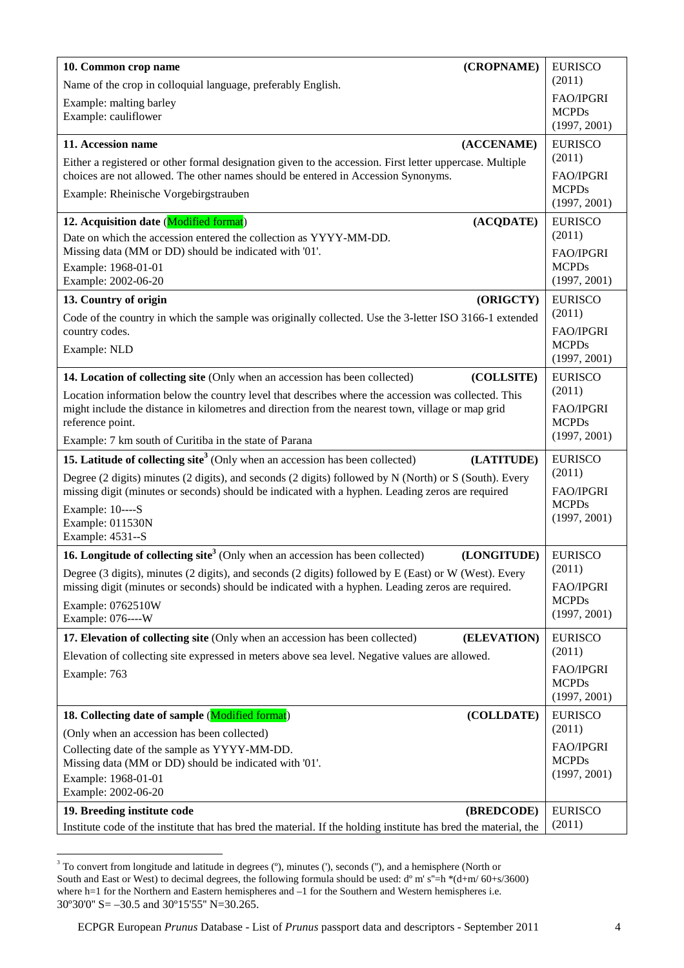| (CROPNAME)<br>10. Common crop name                                                                                                                                                                         | <b>EURISCO</b>                            |
|------------------------------------------------------------------------------------------------------------------------------------------------------------------------------------------------------------|-------------------------------------------|
| Name of the crop in colloquial language, preferably English.                                                                                                                                               | (2011)                                    |
| Example: malting barley<br>Example: cauliflower                                                                                                                                                            | FAO/IPGRI<br><b>MCPDs</b><br>(1997, 2001) |
| 11. Accession name<br>(ACCENAME)                                                                                                                                                                           | <b>EURISCO</b>                            |
| Either a registered or other formal designation given to the accession. First letter uppercase. Multiple<br>choices are not allowed. The other names should be entered in Accession Synonyms.              | (2011)<br><b>FAO/IPGRI</b>                |
| Example: Rheinische Vorgebirgstrauben                                                                                                                                                                      | <b>MCPDs</b><br>(1997, 2001)              |
| 12. Acquisition date (Modified format)<br>(ACQDATE)                                                                                                                                                        | <b>EURISCO</b>                            |
| Date on which the accession entered the collection as YYYY-MM-DD.<br>Missing data (MM or DD) should be indicated with '01'.                                                                                | (2011)                                    |
| Example: 1968-01-01                                                                                                                                                                                        | FAO/IPGRI<br><b>MCPDs</b>                 |
| Example: 2002-06-20                                                                                                                                                                                        | (1997, 2001)                              |
| 13. Country of origin<br>(ORIGCTY)                                                                                                                                                                         | <b>EURISCO</b>                            |
| Code of the country in which the sample was originally collected. Use the 3-letter ISO 3166-1 extended                                                                                                     | (2011)                                    |
| country codes.                                                                                                                                                                                             | <b>FAO/IPGRI</b><br><b>MCPDs</b>          |
| Example: NLD                                                                                                                                                                                               | (1997, 2001)                              |
| (COLLSITE)<br>14. Location of collecting site (Only when an accession has been collected)                                                                                                                  | <b>EURISCO</b>                            |
| Location information below the country level that describes where the accession was collected. This                                                                                                        | (2011)                                    |
| might include the distance in kilometres and direction from the nearest town, village or map grid<br>reference point.                                                                                      | <b>FAO/IPGRI</b><br><b>MCPDs</b>          |
| Example: 7 km south of Curitiba in the state of Parana                                                                                                                                                     | (1997, 2001)                              |
| <b>15. Latitude of collecting site<sup>3</sup></b> (Only when an accession has been collected)<br>(LATITUDE)                                                                                               | <b>EURISCO</b>                            |
| Degree (2 digits) minutes (2 digits), and seconds (2 digits) followed by N (North) or S (South). Every<br>missing digit (minutes or seconds) should be indicated with a hyphen. Leading zeros are required | (2011)<br><b>FAO/IPGRI</b>                |
| Example: 10----S                                                                                                                                                                                           | <b>MCPDs</b>                              |
| Example: 011530N                                                                                                                                                                                           | (1997, 2001)                              |
| Example: 4531--S                                                                                                                                                                                           |                                           |
| <b>16. Longitude of collecting site</b> <sup>3</sup> (Only when an accession has been collected)<br>(LONGITUDE)                                                                                            | <b>EURISCO</b><br>(2011)                  |
| Degree (3 digits), minutes (2 digits), and seconds (2 digits) followed by E (East) or W (West). Every<br>missing digit (minutes or seconds) should be indicated with a hyphen. Leading zeros are required. | <b>FAO/IPGRI</b>                          |
| Example: 0762510W<br>Example: 076----W                                                                                                                                                                     | <b>MCPDs</b><br>(1997, 2001)              |
| 17. Elevation of collecting site (Only when an accession has been collected)<br>(ELEVATION)                                                                                                                | <b>EURISCO</b>                            |
| Elevation of collecting site expressed in meters above sea level. Negative values are allowed.                                                                                                             | (2011)                                    |
| Example: 763                                                                                                                                                                                               | <b>FAO/IPGRI</b><br><b>MCPDs</b>          |
|                                                                                                                                                                                                            | (1997, 2001)                              |
| 18. Collecting date of sample (Modified format)<br>(COLLDATE)                                                                                                                                              | <b>EURISCO</b>                            |
| (Only when an accession has been collected)                                                                                                                                                                | (2011)                                    |
| Collecting date of the sample as YYYY-MM-DD.<br>Missing data (MM or DD) should be indicated with '01'.                                                                                                     | <b>FAO/IPGRI</b><br><b>MCPDs</b>          |
| Example: 1968-01-01<br>Example: 2002-06-20                                                                                                                                                                 | (1997, 2001)                              |
| 19. Breeding institute code<br>(BREDCODE)                                                                                                                                                                  | <b>EURISCO</b>                            |
| Institute code of the institute that has bred the material. If the holding institute has bred the material, the                                                                                            | (2011)                                    |

 $3$  To convert from longitude and latitude in degrees ( $\degree$ ), minutes ( $\degree$ ), seconds ( $\degree$ ), and a hemisphere (North or South and East or West) to decimal degrees, the following formula should be used: d° m' s"=h  $*(d+m/60+s/3600)$ where h=1 for the Northern and Eastern hemispheres and -1 for the Southern and Western hemispheres i.e.

 $\overline{a}$ 

<sup>30</sup>º30'0'' S= –30.5 and 30º15'55'' N=30.265.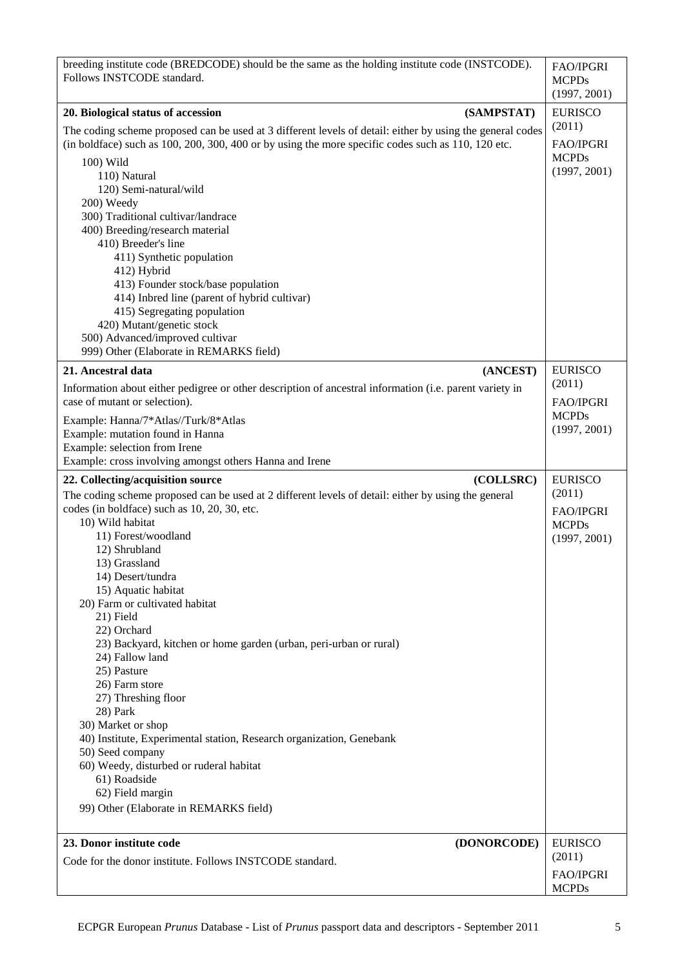| breeding institute code (BREDCODE) should be the same as the holding institute code (INSTCODE).                    | FAO/IPGRI                        |
|--------------------------------------------------------------------------------------------------------------------|----------------------------------|
| Follows INSTCODE standard.                                                                                         | <b>MCPDs</b>                     |
|                                                                                                                    | (1997, 2001)                     |
| (SAMPSTAT)<br>20. Biological status of accession                                                                   | <b>EURISCO</b>                   |
| The coding scheme proposed can be used at 3 different levels of detail: either by using the general codes          | (2011)                           |
| (in boldface) such as $100$ , $200$ , $300$ , $400$ or by using the more specific codes such as $110$ , $120$ etc. | <b>FAO/IPGRI</b>                 |
| 100) Wild                                                                                                          | <b>MCPDs</b>                     |
| 110) Natural                                                                                                       | (1997, 2001)                     |
| 120) Semi-natural/wild                                                                                             |                                  |
| 200) Weedy                                                                                                         |                                  |
| 300) Traditional cultivar/landrace                                                                                 |                                  |
| 400) Breeding/research material                                                                                    |                                  |
| 410) Breeder's line                                                                                                |                                  |
| 411) Synthetic population                                                                                          |                                  |
| 412) Hybrid                                                                                                        |                                  |
| 413) Founder stock/base population                                                                                 |                                  |
| 414) Inbred line (parent of hybrid cultivar)<br>415) Segregating population                                        |                                  |
| 420) Mutant/genetic stock                                                                                          |                                  |
| 500) Advanced/improved cultivar                                                                                    |                                  |
| 999) Other (Elaborate in REMARKS field)                                                                            |                                  |
| (ANCEST)<br>21. Ancestral data                                                                                     | <b>EURISCO</b>                   |
|                                                                                                                    | (2011)                           |
| Information about either pedigree or other description of ancestral information (i.e. parent variety in            |                                  |
| case of mutant or selection).                                                                                      | <b>FAO/IPGRI</b><br><b>MCPDs</b> |
| Example: Hanna/7*Atlas//Turk/8*Atlas                                                                               | (1997, 2001)                     |
| Example: mutation found in Hanna                                                                                   |                                  |
| Example: selection from Irene                                                                                      |                                  |
| Example: cross involving amongst others Hanna and Irene                                                            |                                  |
| 22. Collecting/acquisition source<br>(COLLSRC)                                                                     | <b>EURISCO</b>                   |
| The coding scheme proposed can be used at 2 different levels of detail: either by using the general                | (2011)                           |
| codes (in boldface) such as 10, 20, 30, etc.                                                                       | <b>FAO/IPGRI</b>                 |
| 10) Wild habitat<br>11) Forest/woodland                                                                            | <b>MCPDs</b>                     |
| 12) Shrubland                                                                                                      | (1997, 2001)                     |
| 13) Grassland                                                                                                      |                                  |
| 14) Desert/tundra                                                                                                  |                                  |
| 15) Aquatic habitat                                                                                                |                                  |
| 20) Farm or cultivated habitat                                                                                     |                                  |
| 21) Field                                                                                                          |                                  |
| 22) Orchard                                                                                                        |                                  |
| 23) Backyard, kitchen or home garden (urban, peri-urban or rural)                                                  |                                  |
| 24) Fallow land<br>25) Pasture                                                                                     |                                  |
| 26) Farm store                                                                                                     |                                  |
| 27) Threshing floor                                                                                                |                                  |
| 28) Park                                                                                                           |                                  |
| 30) Market or shop                                                                                                 |                                  |
| 40) Institute, Experimental station, Research organization, Genebank                                               |                                  |
| 50) Seed company                                                                                                   |                                  |
| 60) Weedy, disturbed or ruderal habitat                                                                            |                                  |
| 61) Roadside                                                                                                       |                                  |
| 62) Field margin                                                                                                   |                                  |
| 99) Other (Elaborate in REMARKS field)                                                                             |                                  |
|                                                                                                                    |                                  |
| 23. Donor institute code<br>(DONORCODE)                                                                            | <b>EURISCO</b>                   |
| Code for the donor institute. Follows INSTCODE standard.                                                           | (2011)                           |
|                                                                                                                    | <b>FAO/IPGRI</b>                 |
|                                                                                                                    | <b>MCPDs</b>                     |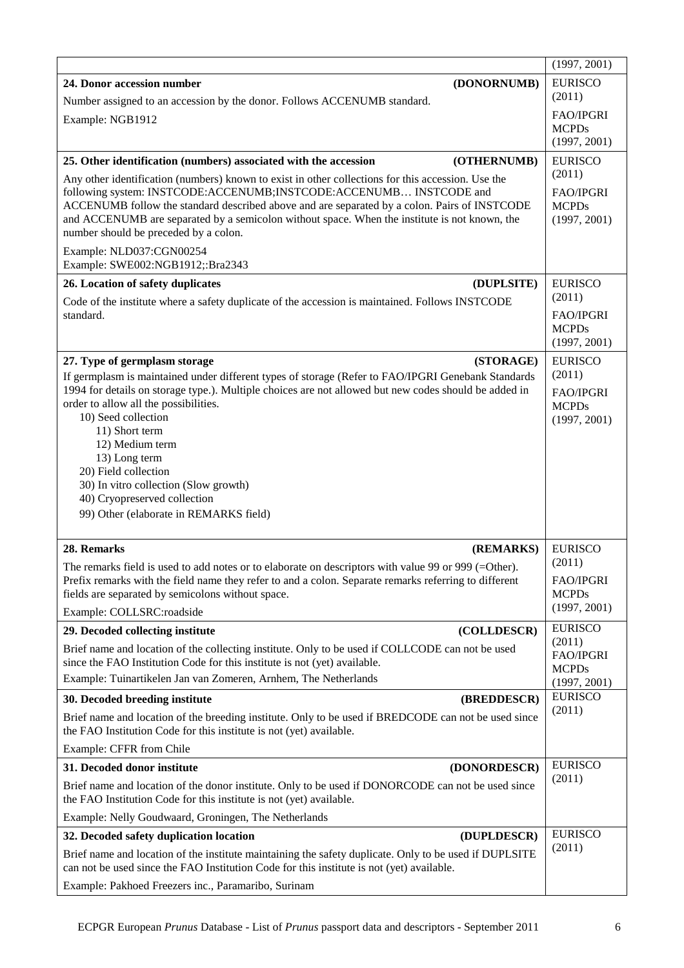|                                                                                                                                                                                                     | (1997, 2001)                     |
|-----------------------------------------------------------------------------------------------------------------------------------------------------------------------------------------------------|----------------------------------|
| 24. Donor accession number<br>(DONORNUMB)                                                                                                                                                           | <b>EURISCO</b>                   |
| Number assigned to an accession by the donor. Follows ACCENUMB standard.                                                                                                                            | (2011)                           |
| Example: NGB1912                                                                                                                                                                                    | FAO/IPGRI<br><b>MCPDs</b>        |
|                                                                                                                                                                                                     | (1997, 2001)                     |
| 25. Other identification (numbers) associated with the accession<br>(OTHERNUMB)                                                                                                                     | <b>EURISCO</b>                   |
| Any other identification (numbers) known to exist in other collections for this accession. Use the                                                                                                  | (2011)                           |
| following system: INSTCODE:ACCENUMB;INSTCODE:ACCENUMB INSTCODE and                                                                                                                                  | FAO/IPGRI                        |
| ACCENUMB follow the standard described above and are separated by a colon. Pairs of INSTCODE<br>and ACCENUMB are separated by a semicolon without space. When the institute is not known, the       | <b>MCPDs</b><br>(1997, 2001)     |
| number should be preceded by a colon.                                                                                                                                                               |                                  |
| Example: NLD037:CGN00254                                                                                                                                                                            |                                  |
| Example: SWE002:NGB1912;:Bra2343                                                                                                                                                                    |                                  |
| 26. Location of safety duplicates<br>(DUPLSITE)                                                                                                                                                     | <b>EURISCO</b>                   |
| Code of the institute where a safety duplicate of the accession is maintained. Follows INSTCODE                                                                                                     | (2011)                           |
| standard.                                                                                                                                                                                           | <b>FAO/IPGRI</b><br><b>MCPDs</b> |
|                                                                                                                                                                                                     | (1997, 2001)                     |
| (STORAGE)<br>27. Type of germplasm storage                                                                                                                                                          | <b>EURISCO</b>                   |
| If germplasm is maintained under different types of storage (Refer to FAO/IPGRI Genebank Standards                                                                                                  | (2011)                           |
| 1994 for details on storage type.). Multiple choices are not allowed but new codes should be added in<br>order to allow all the possibilities.                                                      | FAO/IPGRI                        |
| 10) Seed collection                                                                                                                                                                                 | <b>MCPDs</b><br>(1997, 2001)     |
| 11) Short term                                                                                                                                                                                      |                                  |
| 12) Medium term<br>13) Long term                                                                                                                                                                    |                                  |
| 20) Field collection                                                                                                                                                                                |                                  |
| 30) In vitro collection (Slow growth)                                                                                                                                                               |                                  |
| 40) Cryopreserved collection<br>99) Other (elaborate in REMARKS field)                                                                                                                              |                                  |
|                                                                                                                                                                                                     |                                  |
| 28. Remarks<br>(REMARKS)                                                                                                                                                                            | <b>EURISCO</b>                   |
| The remarks field is used to add notes or to elaborate on descriptors with value 99 or 999 (=Other).                                                                                                | (2011)                           |
| Prefix remarks with the field name they refer to and a colon. Separate remarks referring to different<br>fields are separated by semicolons without space.                                          | FAO/IPGRI<br><b>MCPDs</b>        |
| Example: COLLSRC:roadside                                                                                                                                                                           | (1997, 2001)                     |
| 29. Decoded collecting institute<br>(COLLDESCR)                                                                                                                                                     | <b>EURISCO</b>                   |
| Brief name and location of the collecting institute. Only to be used if COLLCODE can not be used                                                                                                    | (2011)<br>FAO/IPGRI              |
| since the FAO Institution Code for this institute is not (yet) available.                                                                                                                           | <b>MCPDs</b>                     |
| Example: Tuinartikelen Jan van Zomeren, Arnhem, The Netherlands                                                                                                                                     | (1997, 2001)                     |
| (BREDDESCR)<br>30. Decoded breeding institute                                                                                                                                                       | <b>EURISCO</b><br>(2011)         |
| Brief name and location of the breeding institute. Only to be used if BREDCODE can not be used since<br>the FAO Institution Code for this institute is not (yet) available.                         |                                  |
| Example: CFFR from Chile                                                                                                                                                                            |                                  |
| 31. Decoded donor institute<br>(DONORDESCR)                                                                                                                                                         | <b>EURISCO</b>                   |
| Brief name and location of the donor institute. Only to be used if DONORCODE can not be used since<br>the FAO Institution Code for this institute is not (yet) available.                           | (2011)                           |
| Example: Nelly Goudwaard, Groningen, The Netherlands                                                                                                                                                |                                  |
| (DUPLDESCR)<br>32. Decoded safety duplication location                                                                                                                                              | <b>EURISCO</b>                   |
| Brief name and location of the institute maintaining the safety duplicate. Only to be used if DUPLSITE<br>can not be used since the FAO Institution Code for this institute is not (yet) available. | (2011)                           |
| Example: Pakhoed Freezers inc., Paramaribo, Surinam                                                                                                                                                 |                                  |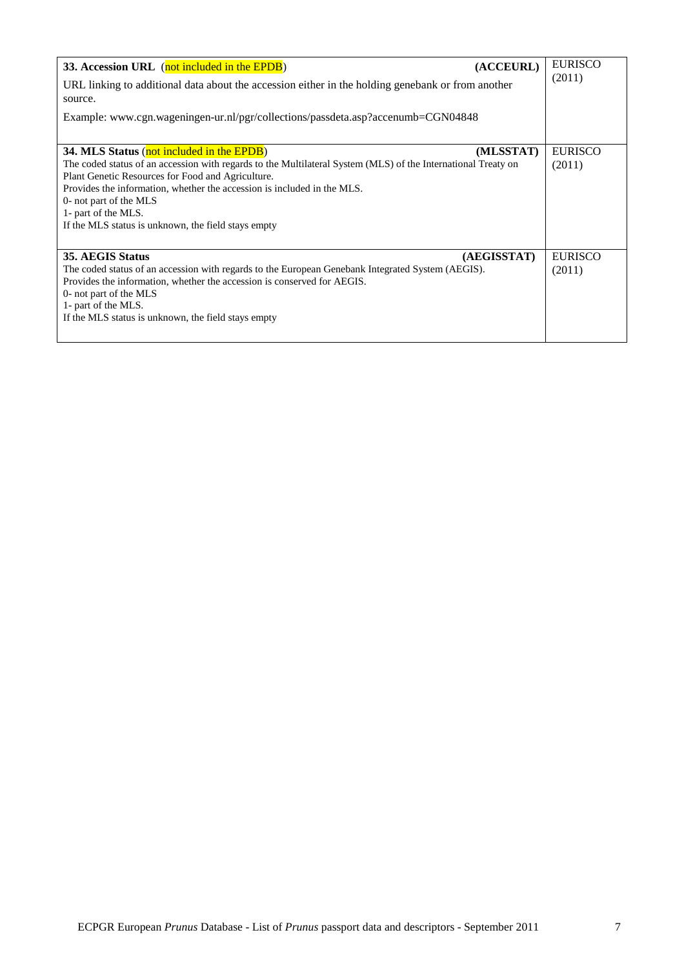| 33. Accession URL (not included in the EPDB)                                                                  | (ACCEURL)   | <b>EURISCO</b> |
|---------------------------------------------------------------------------------------------------------------|-------------|----------------|
| URL linking to additional data about the accession either in the holding genebank or from another             |             | (2011)         |
| source.                                                                                                       |             |                |
| Example: www.cgn.wageningen-ur.nl/pgr/collections/passdeta.asp?accenumb=CGN04848                              |             |                |
|                                                                                                               |             |                |
| 34. MLS Status (not included in the EPDB)                                                                     | (MLSSTAT)   | <b>EURISCO</b> |
| The coded status of an accession with regards to the Multilateral System (MLS) of the International Treaty on |             | (2011)         |
| Plant Genetic Resources for Food and Agriculture.                                                             |             |                |
| Provides the information, whether the accession is included in the MLS.                                       |             |                |
| 0- not part of the MLS                                                                                        |             |                |
| 1- part of the MLS.                                                                                           |             |                |
| If the MLS status is unknown, the field stays empty                                                           |             |                |
|                                                                                                               |             |                |
| 35. AEGIS Status                                                                                              | (AEGISSTAT) | <b>EURISCO</b> |
| The coded status of an accession with regards to the European Genebank Integrated System (AEGIS).             |             | (2011)         |
| Provides the information, whether the accession is conserved for AEGIS.                                       |             |                |
| 0- not part of the MLS                                                                                        |             |                |
| 1- part of the MLS.                                                                                           |             |                |
| If the MLS status is unknown, the field stays empty                                                           |             |                |
|                                                                                                               |             |                |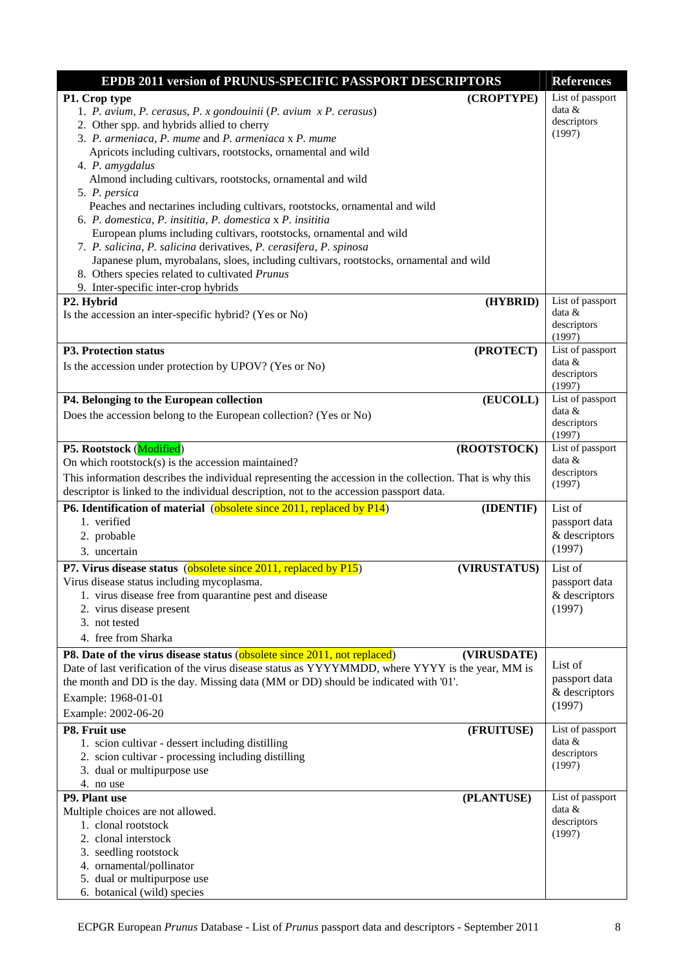| EPDB 2011 version of PRUNUS-SPECIFIC PASSPORT DESCRIPTORS                                                                                                    | <b>References</b>          |
|--------------------------------------------------------------------------------------------------------------------------------------------------------------|----------------------------|
| (CROPTYPE)<br>P1. Crop type                                                                                                                                  | List of passport           |
| 1. P. avium, P. cerasus, P. x gondouinii (P. avium x P. cerasus)                                                                                             | data &                     |
| 2. Other spp. and hybrids allied to cherry                                                                                                                   | descriptors                |
| 3. P. armeniaca, P. mume and P. armeniaca x P. mume                                                                                                          | (1997)                     |
| Apricots including cultivars, rootstocks, ornamental and wild                                                                                                |                            |
| 4. P. amygdalus                                                                                                                                              |                            |
| Almond including cultivars, rootstocks, ornamental and wild                                                                                                  |                            |
| 5. P. persica                                                                                                                                                |                            |
| Peaches and nectarines including cultivars, rootstocks, ornamental and wild                                                                                  |                            |
| 6. P. domestica, P. insititia, P. domestica x P. insititia                                                                                                   |                            |
| European plums including cultivars, rootstocks, ornamental and wild                                                                                          |                            |
| 7. P. salicina, P. salicina derivatives, P. cerasifera, P. spinosa<br>Japanese plum, myrobalans, sloes, including cultivars, rootstocks, ornamental and wild |                            |
| 8. Others species related to cultivated Prunus                                                                                                               |                            |
| 9. Inter-specific inter-crop hybrids                                                                                                                         |                            |
| P2. Hybrid<br>(HYBRID)                                                                                                                                       | List of passport           |
| Is the accession an inter-specific hybrid? (Yes or No)                                                                                                       | data &                     |
|                                                                                                                                                              | descriptors                |
|                                                                                                                                                              | (1997)                     |
| P3. Protection status<br>(PROTECT)                                                                                                                           | List of passport<br>data & |
| Is the accession under protection by UPOV? (Yes or No)                                                                                                       | descriptors                |
|                                                                                                                                                              | (1997)                     |
| (EUCOLL)<br>P4. Belonging to the European collection                                                                                                         | List of passport           |
| Does the accession belong to the European collection? (Yes or No)                                                                                            | data &                     |
|                                                                                                                                                              | descriptors<br>(1997)      |
| P5. Rootstock (Modified)<br>(ROOTSTOCK)                                                                                                                      | List of passport           |
| On which rootstock(s) is the accession maintained?                                                                                                           | data &                     |
| This information describes the individual representing the accession in the collection. That is why this                                                     | descriptors<br>(1997)      |
| descriptor is linked to the individual description, not to the accession passport data.                                                                      |                            |
| P6. Identification of material (obsolete since $2011$ , replaced by P14)<br>(IDENTIF)                                                                        | List of                    |
| 1. verified                                                                                                                                                  | passport data              |
| 2. probable                                                                                                                                                  | & descriptors              |
| 3. uncertain                                                                                                                                                 | (1997)                     |
| P7. Virus disease status (obsolete since $2011$ , replaced by P15)<br>(VIRUSTATUS)                                                                           | List of                    |
| Virus disease status including mycoplasma.                                                                                                                   | passport data              |
| 1. virus disease free from quarantine pest and disease                                                                                                       | & descriptors              |
| 2. virus disease present                                                                                                                                     | (1997)                     |
| 3. not tested                                                                                                                                                |                            |
| 4. free from Sharka                                                                                                                                          |                            |
| <b>P8.</b> Date of the virus disease status (obsolete since 2011, not replaced)<br>(VIRUSDATE)                                                               |                            |
| Date of last verification of the virus disease status as YYYYMMDD, where YYYY is the year, MM is                                                             | List of                    |
| the month and DD is the day. Missing data (MM or DD) should be indicated with '01'.                                                                          | passport data              |
| Example: 1968-01-01                                                                                                                                          | & descriptors              |
| Example: 2002-06-20                                                                                                                                          | (1997)                     |
| P8. Fruit use<br>(FRUITUSE)                                                                                                                                  | List of passport           |
| 1. scion cultivar - dessert including distilling                                                                                                             | data &                     |
| 2. scion cultivar - processing including distilling                                                                                                          | descriptors                |
| 3. dual or multipurpose use                                                                                                                                  | (1997)                     |
| 4. no use                                                                                                                                                    |                            |
| P9. Plant use<br>(PLANTUSE)                                                                                                                                  | List of passport           |
|                                                                                                                                                              |                            |
| Multiple choices are not allowed.                                                                                                                            | data $\&$                  |
| 1. clonal rootstock                                                                                                                                          | descriptors                |
| 2. clonal interstock                                                                                                                                         | (1997)                     |
| 3. seedling rootstock                                                                                                                                        |                            |
| 4. ornamental/pollinator<br>5. dual or multipurpose use                                                                                                      |                            |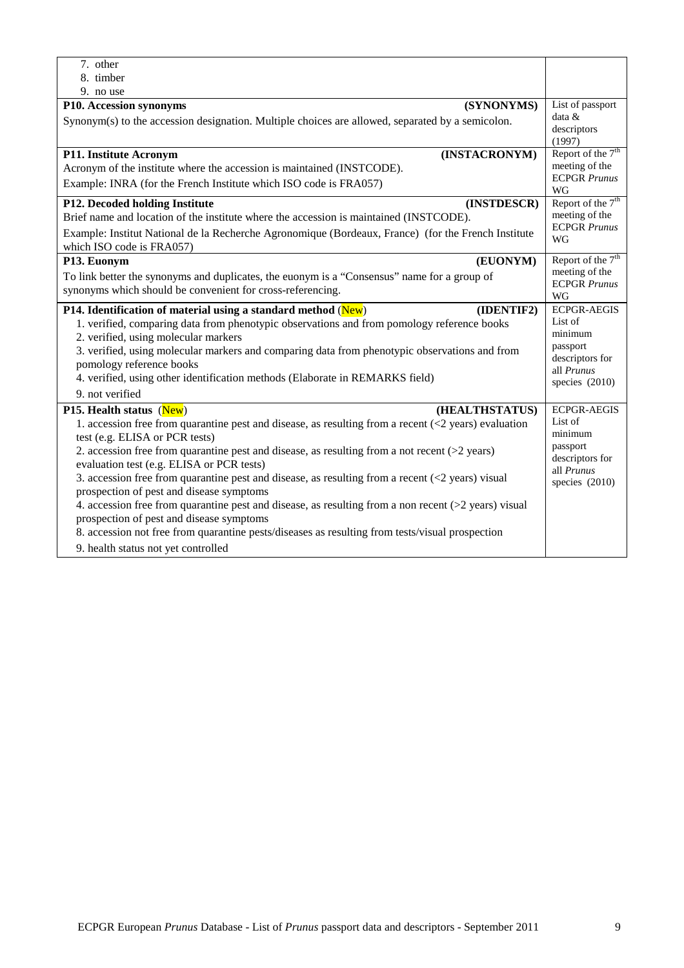| 7. other                                                                                                                               |                                       |
|----------------------------------------------------------------------------------------------------------------------------------------|---------------------------------------|
| 8. timber                                                                                                                              |                                       |
| 9. no use                                                                                                                              |                                       |
| P10. Accession synonyms<br>(SYNONYMS)                                                                                                  | List of passport                      |
|                                                                                                                                        | data &                                |
| Synonym(s) to the accession designation. Multiple choices are allowed, separated by a semicolon.                                       | descriptors                           |
|                                                                                                                                        | (1997)                                |
| (INSTACRONYM)<br>P11. Institute Acronym                                                                                                | Report of the 7 <sup>th</sup>         |
| Acronym of the institute where the accession is maintained (INSTCODE).                                                                 | meeting of the                        |
| Example: INRA (for the French Institute which ISO code is FRA057)                                                                      | <b>ECPGR Prunus</b>                   |
|                                                                                                                                        | WG<br>Report of the 7 <sup>th</sup>   |
| (INSTDESCR)<br>P12. Decoded holding Institute                                                                                          | meeting of the                        |
| Brief name and location of the institute where the accession is maintained (INSTCODE).                                                 | <b>ECPGR Prunus</b>                   |
| Example: Institut National de la Recherche Agronomique (Bordeaux, France) (for the French Institute                                    | WG                                    |
| which ISO code is FRA057)                                                                                                              |                                       |
| P13. Euonym<br>(EUONYM)                                                                                                                | Report of the 7 <sup>th</sup>         |
| To link better the synonyms and duplicates, the euonym is a "Consensus" name for a group of                                            | meeting of the<br><b>ECPGR Prunus</b> |
| synonyms which should be convenient for cross-referencing.                                                                             | WG                                    |
|                                                                                                                                        |                                       |
|                                                                                                                                        |                                       |
| (IDENTIF2)<br>P14. Identification of material using a standard method (New)                                                            | <b>ECPGR-AEGIS</b>                    |
| 1. verified, comparing data from phenotypic observations and from pomology reference books                                             | List of<br>minimum                    |
| 2. verified, using molecular markers                                                                                                   | passport                              |
| 3. verified, using molecular markers and comparing data from phenotypic observations and from                                          | descriptors for                       |
| pomology reference books                                                                                                               | all Prunus                            |
| 4. verified, using other identification methods (Elaborate in REMARKS field)                                                           | species (2010)                        |
| 9. not verified                                                                                                                        |                                       |
| P15. Health status $(New)$<br>(HEALTHSTATUS)                                                                                           | <b>ECPGR-AEGIS</b>                    |
| 1. accession free from quarantine pest and disease, as resulting from a recent $(\leq 2$ years) evaluation                             | List of                               |
| test (e.g. ELISA or PCR tests)                                                                                                         | minimum                               |
| 2. accession free from quarantine pest and disease, as resulting from a not recent $($ >2 years)                                       | passport                              |
| evaluation test (e.g. ELISA or PCR tests)                                                                                              | descriptors for                       |
| 3. accession free from quarantine pest and disease, as resulting from a recent $\langle 2 \rangle$ years) visual                       | all Prunus<br>species (2010)          |
| prospection of pest and disease symptoms                                                                                               |                                       |
| 4. accession free from quarantine pest and disease, as resulting from a non recent ( $>2$ years) visual                                |                                       |
| prospection of pest and disease symptoms                                                                                               |                                       |
| 8. accession not free from quarantine pests/diseases as resulting from tests/visual prospection<br>9. health status not yet controlled |                                       |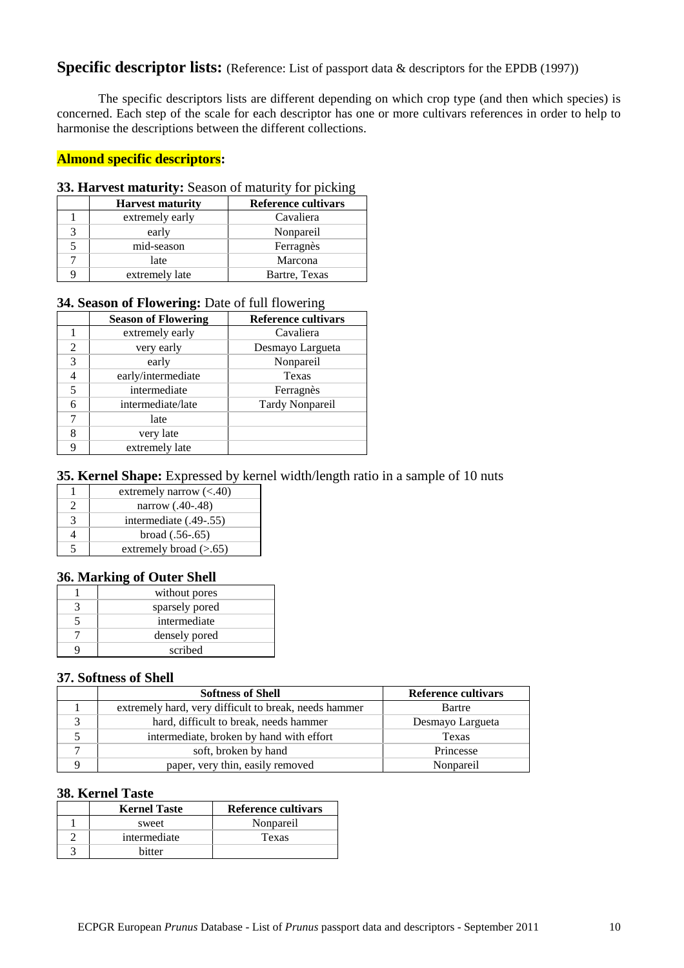## **Specific descriptor lists:** (Reference: List of passport data & descriptors for the EPDB (1997))

The specific descriptors lists are different depending on which crop type (and then which species) is concerned. Each step of the scale for each descriptor has one or more cultivars references in order to help to harmonise the descriptions between the different collections.

### **Almond specific descriptors:**

#### **33. Harvest maturity:** Season of maturity for picking

| <b>Harvest maturity</b> | <b>Reference cultivars</b> |
|-------------------------|----------------------------|
| extremely early         | Cavaliera                  |
| early                   | Nonpareil                  |
| mid-season              | Ferragnès                  |
| late                    | Marcona                    |
| extremely late          | Bartre, Texas              |

#### **34. Season of Flowering:** Date of full flowering

|   | <b>Season of Flowering</b> | Reference cultivars    |
|---|----------------------------|------------------------|
|   | extremely early            | Cavaliera              |
| 2 | very early                 | Desmayo Largueta       |
| 3 | early                      | Nonpareil              |
| 4 | early/intermediate         | Texas                  |
| 5 | intermediate               | Ferragnès              |
| 6 | intermediate/late          | <b>Tardy Nonpareil</b> |
|   | late                       |                        |
| 8 | very late                  |                        |
| Q | extremely late             |                        |

#### **35. Kernel Shape:** Expressed by kernel width/length ratio in a sample of 10 nuts

|   | extremely narrow $(<.40)$  |
|---|----------------------------|
|   | narrow (.40-.48)           |
| 3 | intermediate (.49-.55)     |
| 4 | $broad(.56-.65)$           |
|   | extremely broad $(> 0.65)$ |

#### **36. Marking of Outer Shell**

| without pores  |
|----------------|
| sparsely pored |
| intermediate   |
| densely pored  |
| scribed        |

#### **37. Softness of Shell**

|   | <b>Softness of Shell</b>                              | Reference cultivars |
|---|-------------------------------------------------------|---------------------|
|   | extremely hard, very difficult to break, needs hammer | Bartre              |
| 2 | hard, difficult to break, needs hammer                | Desmayo Largueta    |
|   | intermediate, broken by hand with effort              | <b>Texas</b>        |
|   | soft, broken by hand                                  | Princesse           |
|   | paper, very thin, easily removed                      | Nonpareil           |

### **38. Kernel Taste**

| <b>Kernel Taste</b> | Reference cultivars |
|---------------------|---------------------|
| sweet               | Nonpareil           |
| intermediate        | Texas               |
| hitter              |                     |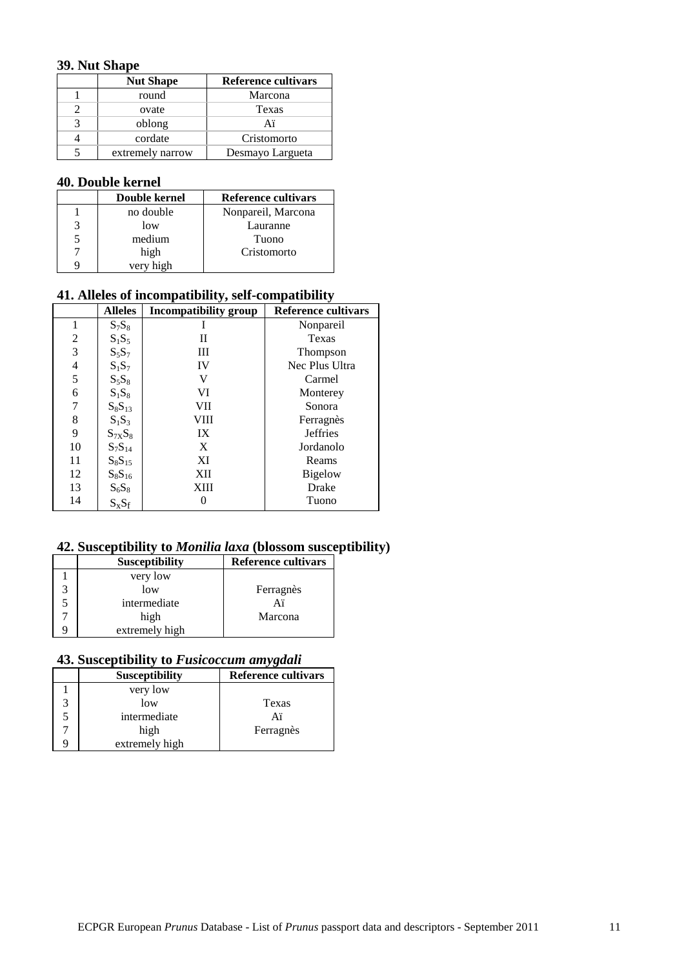### **39. Nut Shape**

| <b>Nut Shape</b> | Reference cultivars |
|------------------|---------------------|
| round            | Marcona             |
| ovate            | Texas               |
| oblong           | Aï                  |
| cordate          | Cristomorto         |
| extremely narrow | Desmayo Largueta    |

#### **40. Double kernel**

| Double kernel | <b>Reference cultivars</b> |
|---------------|----------------------------|
| no double     | Nonpareil, Marcona         |
| low           | Lauranne                   |
| medium        | Tuono                      |
| high          | Cristomorto                |
| very high     |                            |

## **41. Alleles of incompatibility, self-compatibility**

|                | <b>Alleles</b> | Incompatibility group | <b>Reference cultivars</b> |
|----------------|----------------|-----------------------|----------------------------|
| 1              | $S_7S_8$       |                       | Nonpareil                  |
| 2              | $S_1S_5$       | П                     | Texas                      |
| 3              | $S_5S_7$       | III                   | <b>Thompson</b>            |
| $\overline{4}$ | $S_1S_7$       | IV                    | Nec Plus Ultra             |
| 5              | $S_5S_8$       | V                     | Carmel                     |
| 6              | $S_1S_8$       | VI                    | Monterey                   |
| 7              | $S_8S_{13}$    | VII                   | Sonora                     |
| 8              | $S_1S_3$       | VIII                  | Ferragnès                  |
| 9              | $S_{7X}S_8$    | IX                    | <b>Jeffries</b>            |
| 10             | $S_7S_{14}$    | X                     | Jordanolo                  |
| 11             | $S_8S_{15}$    | XI                    | Reams                      |
| 12             | $S_8S_{16}$    | XII                   | <b>Bigelow</b>             |
| 13             | $S_6S_8$       | <b>XIII</b>           | Drake                      |
| 14             | $S_xS_f$       | 0                     | Tuono                      |

## **42. Susceptibility to** *Monilia laxa* **(blossom susceptibility)**

| <b>Susceptibility</b> | Reference cultivars |
|-----------------------|---------------------|
| very low              |                     |
| low                   | Ferragnès           |
| intermediate          | Aï                  |
| high                  | Marcona             |
| extremely high        |                     |

### **43. Susceptibility to** *Fusicoccum amygdali*

|                       | ັບເ                 |
|-----------------------|---------------------|
| <b>Susceptibility</b> | Reference cultivars |
| very low              |                     |
| low                   | Texas               |
| intermediate          | Aï                  |
| high                  | Ferragnès           |
| extremely high        |                     |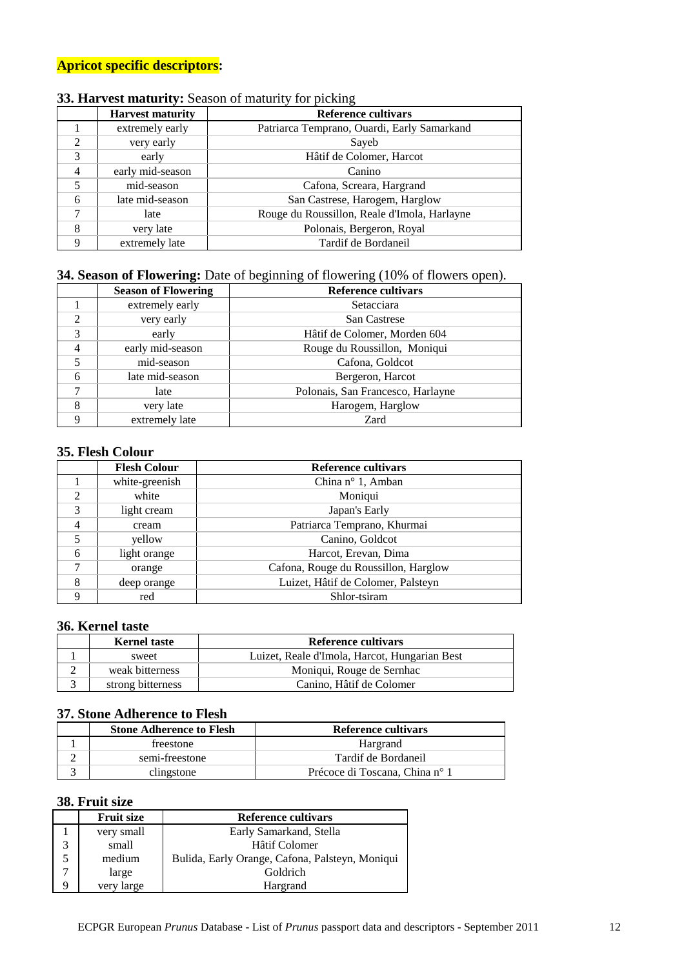## **Apricot specific descriptors:**

|                | <b>Harvest maturity</b> | <b>Reference cultivars</b>                   |
|----------------|-------------------------|----------------------------------------------|
|                | extremely early         | Patriarca Temprano, Ouardi, Early Samarkand  |
| $\mathfrak{D}$ | very early              | Sayeb                                        |
| 3              | early                   | Hâtif de Colomer, Harcot                     |
| $\overline{4}$ | early mid-season        | Canino                                       |
| 5              | mid-season              | Cafona, Screara, Hargrand                    |
| 6              | late mid-season         | San Castrese, Harogem, Harglow               |
| 7              | late                    | Rouge du Roussillon, Reale d'Imola, Harlayne |
| 8              | very late               | Polonais, Bergeron, Royal                    |
| q              | extremely late          | Tardif de Bordaneil                          |

## **33. Harvest maturity:** Season of maturity for picking

## **34. Season of Flowering:** Date of beginning of flowering (10% of flowers open).

|                | <b>Season of Flowering</b> | Reference cultivars               |
|----------------|----------------------------|-----------------------------------|
|                | extremely early            | Setacciara                        |
| $\mathcal{D}$  | very early                 | San Castrese                      |
| 3              | early                      | Hâtif de Colomer, Morden 604      |
| $\overline{4}$ | early mid-season           | Rouge du Roussillon, Moniqui      |
| 5              | mid-season                 | Cafona, Goldcot                   |
| 6              | late mid-season            | Bergeron, Harcot                  |
| 7              | late                       | Polonais, San Francesco, Harlayne |
| 8              | very late                  | Harogem, Harglow                  |
|                | extremely late             | Zard                              |

## **35. Flesh Colour**

|                | <b>Flesh Colour</b> | Reference cultivars                  |
|----------------|---------------------|--------------------------------------|
|                | white-greenish      | China nº 1, Amban                    |
| 2              | white               | Moniqui                              |
| $\mathcal{F}$  | light cream         | Japan's Early                        |
| $\overline{4}$ | cream               | Patriarca Temprano, Khurmai          |
| 5              | vellow              | Canino, Goldcot                      |
| 6              | light orange        | Harcot, Erevan, Dima                 |
| 7              | orange              | Cafona, Rouge du Roussillon, Harglow |
| 8              | deep orange         | Luizet, Hâtif de Colomer, Palsteyn   |
| Q              | red                 | Shlor-tsiram                         |

### **36. Kernel taste**

| <b>Kernel taste</b> | Reference cultivars                           |
|---------------------|-----------------------------------------------|
| sweet               | Luizet, Reale d'Imola, Harcot, Hungarian Best |
| weak bitterness     | Moniqui, Rouge de Sernhac                     |
| strong bitterness   | Canino. Hâtif de Colomer                      |

### **37. Stone Adherence to Flesh**

| <b>Stone Adherence to Flesh</b> | Reference cultivars            |
|---------------------------------|--------------------------------|
| freestone                       | Hargrand                       |
| semi-freestone                  | Tardif de Bordaneil            |
| clingstone                      | Précoce di Toscana, China nº 1 |

### **38. Fruit size**

|   | <b>Fruit size</b> | Reference cultivars                             |
|---|-------------------|-------------------------------------------------|
|   | very small        | Early Samarkand, Stella                         |
| 3 | small             | Hâtif Colomer                                   |
| 5 | medium            | Bulida, Early Orange, Cafona, Palsteyn, Moniqui |
|   | large             | Goldrich                                        |
|   | very large        | Hargrand                                        |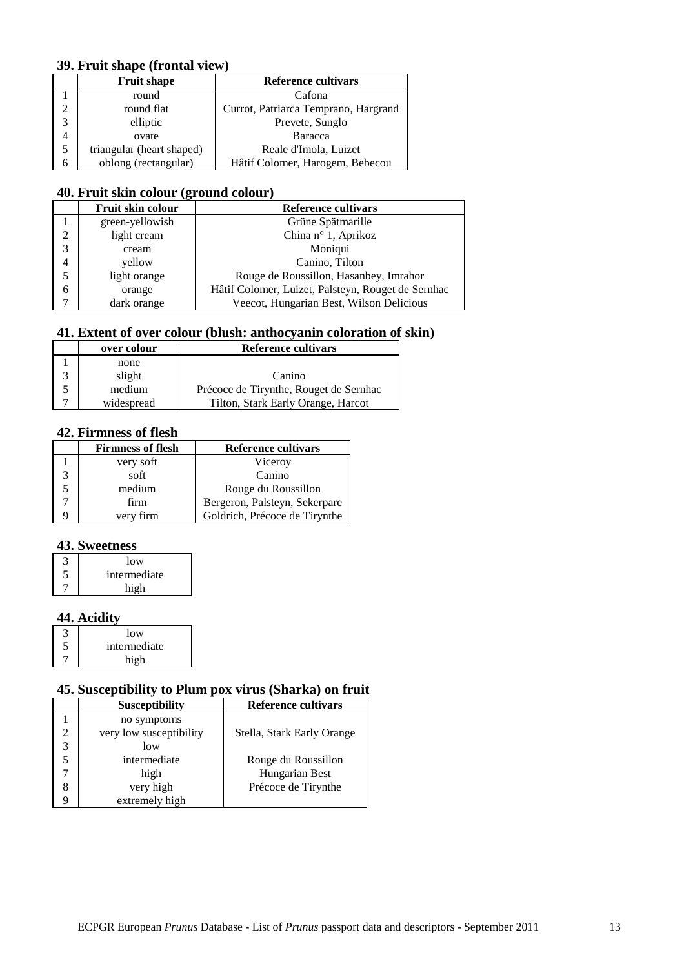## **39. Fruit shape (frontal view)**

|               | <b>Fruit shape</b>        | <b>Reference cultivars</b>           |
|---------------|---------------------------|--------------------------------------|
|               | round                     | Cafona                               |
| $\mathcal{L}$ | round flat                | Currot, Patriarca Temprano, Hargrand |
| 3             | elliptic                  | Prevete, Sunglo                      |
| 4             | ovate                     | Baracca                              |
| 5             | triangular (heart shaped) | Reale d'Imola, Luizet                |
| 6             | oblong (rectangular)      | Hâtif Colomer, Harogem, Bebecou      |

### **40. Fruit skin colour (ground colour)**

|                | <b>Fruit skin colour</b> | <b>Reference cultivars</b>                         |
|----------------|--------------------------|----------------------------------------------------|
|                | green-yellowish          | Grüne Spätmarille                                  |
| $\overline{2}$ | light cream              | China nº 1, Aprikoz                                |
| 3              | cream                    | Moniqui                                            |
| $\overline{4}$ | yellow                   | Canino, Tilton                                     |
| 5              | light orange             | Rouge de Roussillon, Hasanbey, Imrahor             |
| 6              | orange                   | Hâtif Colomer, Luizet, Palsteyn, Rouget de Sernhac |
| 7              | dark orange              | Veecot, Hungarian Best, Wilson Delicious           |

## **41. Extent of over colour (blush: anthocyanin coloration of skin)**

| over colour | Reference cultivars                    |
|-------------|----------------------------------------|
| none        |                                        |
| slight      | Canino                                 |
| medium      | Précoce de Tirynthe, Rouget de Sernhac |
| widespread  | Tilton, Stark Early Orange, Harcot     |

### **42. Firmness of flesh**

| <b>Firmness of flesh</b> | <b>Reference cultivars</b>    |
|--------------------------|-------------------------------|
| very soft                | Viceroy                       |
| soft                     | Canino                        |
| medium                   | Rouge du Roussillon           |
| firm                     | Bergeron, Palsteyn, Sekerpare |
| very firm                | Goldrich, Précoce de Tirynthe |

#### **43. Sweetness**

| low          |
|--------------|
| intermediate |
| high         |

#### **44. Acidity**

|   | low          |
|---|--------------|
| D | intermediate |
|   | high         |

## **45. Susceptibility to Plum pox virus (Sharka) on fruit**

|                | <b>Susceptibility</b>   | Reference cultivars        |
|----------------|-------------------------|----------------------------|
|                | no symptoms             |                            |
| $\overline{c}$ | very low susceptibility | Stella, Stark Early Orange |
| 3              | low                     |                            |
| 5              | intermediate            | Rouge du Roussillon        |
|                | high                    | Hungarian Best             |
| 8              | very high               | Précoce de Tirynthe        |
|                | extremely high          |                            |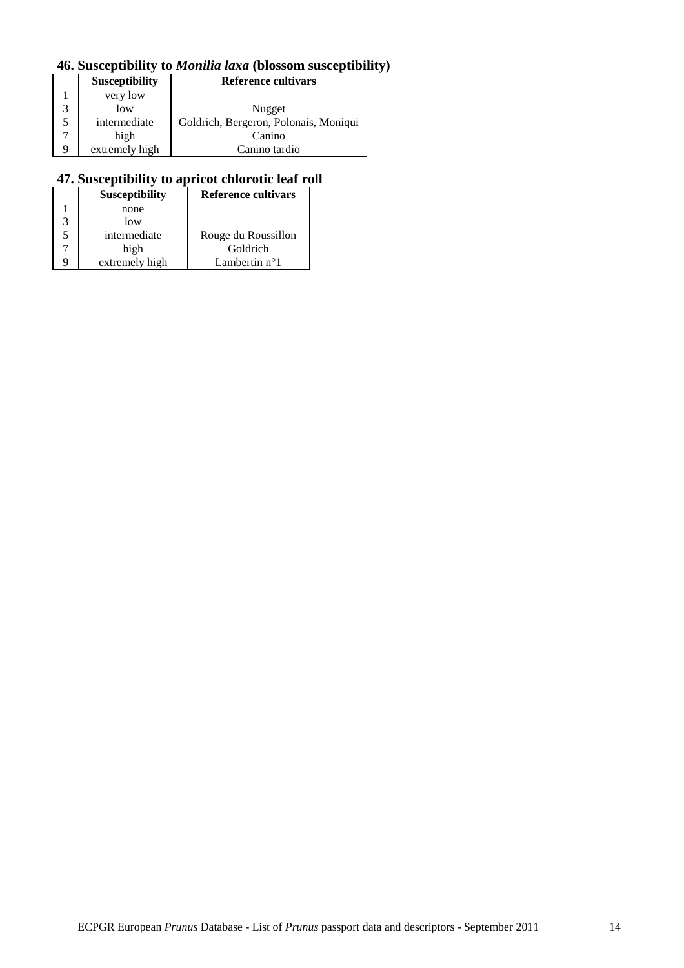# **46. Susceptibility to** *Monilia laxa* **(blossom susceptibility)**

| <b>Susceptibility</b> | Reference cultivars                   |
|-----------------------|---------------------------------------|
| very low              |                                       |
| low                   | Nugget                                |
| intermediate          | Goldrich, Bergeron, Polonais, Moniqui |
| high                  | Canino                                |
| extremely high        | Canino tardio                         |

# **47. Susceptibility to apricot chlorotic leaf roll**

| <b>Susceptibility</b> | Reference cultivars    |
|-----------------------|------------------------|
| none                  |                        |
| low                   |                        |
| intermediate          | Rouge du Roussillon    |
| high                  | Goldrich               |
| extremely high        | Lambertin $n^{\circ}1$ |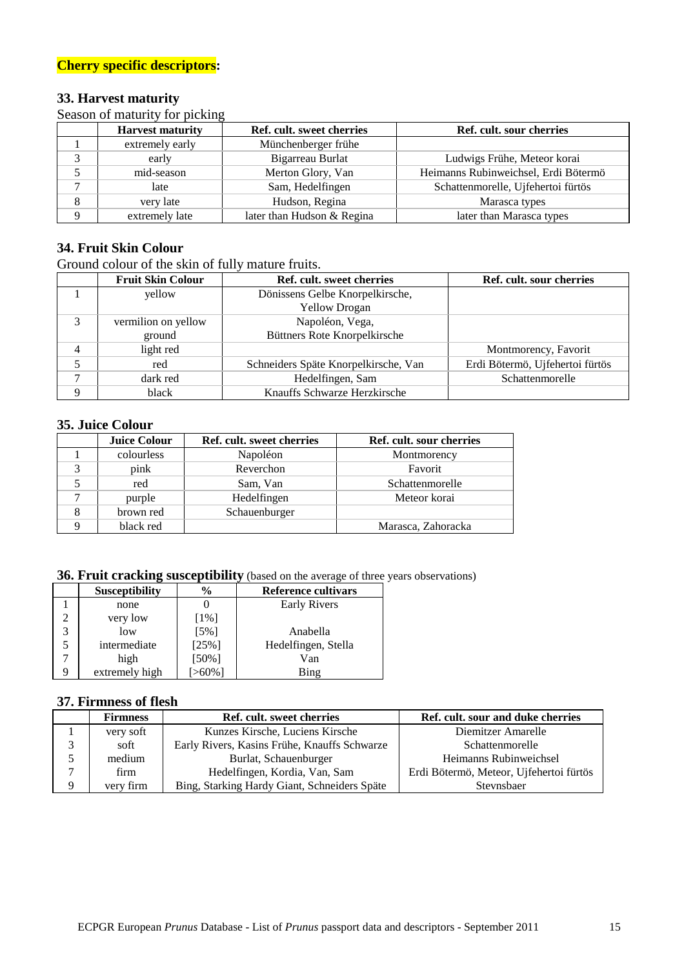### **Cherry specific descriptors:**

## **33. Harvest maturity**

### Season of maturity for picking

|   | <b>Harvest maturity</b> | Ref. cult. sweet cherries  | Ref. cult. sour cherries             |
|---|-------------------------|----------------------------|--------------------------------------|
|   | extremely early         | Münchenberger frühe        |                                      |
|   | early                   | Bigarreau Burlat           | Ludwigs Frühe, Meteor korai          |
|   | mid-season              | Merton Glory, Van          | Heimanns Rubinweichsel, Erdi Bötermö |
|   | late                    | Sam, Hedelfingen           | Schattenmorelle, Ujfehertoi fürtös   |
| 8 | very late               | Hudson, Regina             | Marasca types                        |
|   | extremely late          | later than Hudson & Regina | later than Marasca types             |

## **34. Fruit Skin Colour**

Ground colour of the skin of fully mature fruits.

|   | <b>Fruit Skin Colour</b> | Ref. cult. sweet cherries            | Ref. cult. sour cherries        |
|---|--------------------------|--------------------------------------|---------------------------------|
|   | vellow                   | Dönissens Gelbe Knorpelkirsche,      |                                 |
|   |                          | <b>Yellow Drogan</b>                 |                                 |
| 3 | vermilion on yellow      | Napoléon, Vega,                      |                                 |
|   | ground                   | <b>Büttners Rote Knorpelkirsche</b>  |                                 |
| 4 | light red                |                                      | Montmorency, Favorit            |
|   | red                      | Schneiders Späte Knorpelkirsche, Van | Erdi Bötermö, Ujfehertoi fürtös |
|   | dark red                 | Hedelfingen, Sam                     | Schattenmorelle                 |
| Q | black                    | Knauffs Schwarze Herzkirsche         |                                 |

### **35. Juice Colour**

|   | <b>Juice Colour</b> | Ref. cult. sweet cherries | Ref. cult. sour cherries |
|---|---------------------|---------------------------|--------------------------|
|   | colourless          | Napoléon                  | Montmorency              |
| 3 | pink                | Reverchon                 | Favorit                  |
|   | red                 | Sam, Van                  | Schattenmorelle          |
|   | purple              | Hedelfingen               | Meteor korai             |
|   | brown red           | Schauenburger             |                          |
|   | black red           |                           | Marasca, Zahoracka       |

## **36. Fruit cracking susceptibility** (based on the average of three years observations)

|   | <b>Susceptibility</b> | $\frac{0}{0}$ | Reference cultivars |
|---|-----------------------|---------------|---------------------|
|   | none                  |               | Early Rivers        |
|   | very low              | $[1\%]$       |                     |
| 3 | low                   | $[5\%]$       | Anabella            |
| 5 | intermediate          | $[25\%]$      | Hedelfingen, Stella |
|   | high                  | $[50\%]$      | Van                 |
| q | extremely high        | $-60%$ ]      | Bing                |

## **37. Firmness of flesh**

|   | <b>Firmness</b> | Ref. cult. sweet cherries                    | Ref. cult. sour and duke cherries       |
|---|-----------------|----------------------------------------------|-----------------------------------------|
|   | very soft       | Kunzes Kirsche, Luciens Kirsche              | Diemitzer Amarelle                      |
|   | soft            | Early Rivers, Kasins Frühe, Knauffs Schwarze | Schattenmorelle                         |
|   | medium          | Burlat, Schauenburger                        | Heimanns Rubinweichsel                  |
|   | firm            | Hedelfingen, Kordia, Van, Sam                | Erdi Bötermö, Meteor, Ujfehertoi fürtös |
| Q | very firm       | Bing, Starking Hardy Giant, Schneiders Späte | Stevnsbaer                              |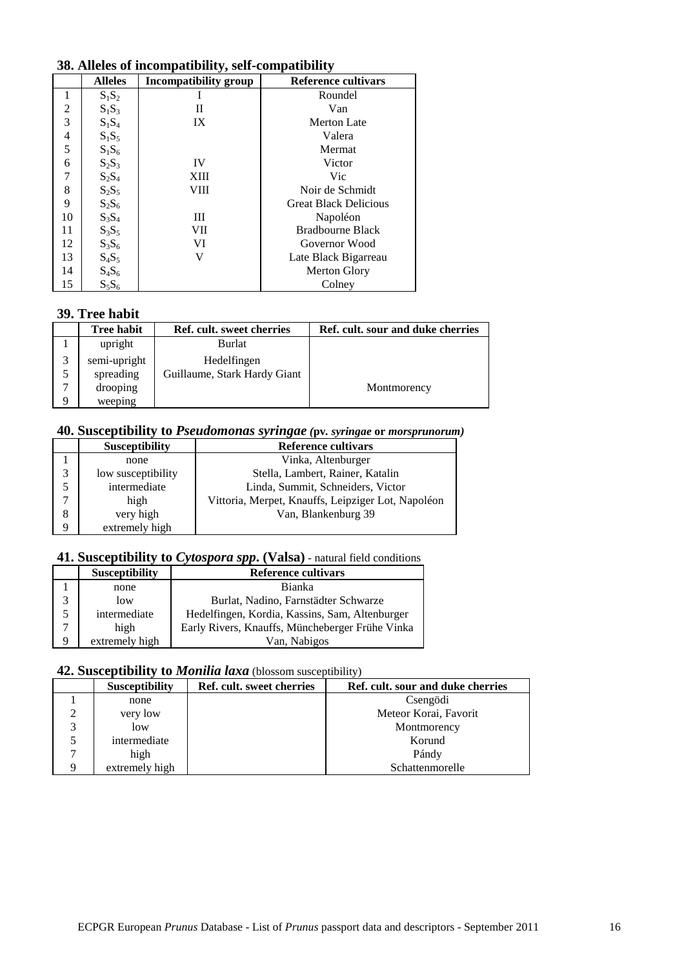|  | 38. Alleles of incompatibility, self-compatibility |  |
|--|----------------------------------------------------|--|
|  |                                                    |  |

|    | <b>Alleles</b> | <b>Incompatibility group</b> | Reference cultivars          |
|----|----------------|------------------------------|------------------------------|
| 1  | $S_1S_2$       |                              | Roundel                      |
| 2  | $S_1S_3$       | П                            | Van                          |
| 3  | $S_1S_4$       | IX                           | <b>Merton Late</b>           |
| 4  | $S_1S_5$       |                              | Valera                       |
| 5  | $S_1S_6$       |                              | Mermat                       |
| 6  | $S_2S_3$       | IV                           | Victor                       |
| 7  | $S_2S_4$       | <b>XIII</b>                  | Vic                          |
| 8  | $S_2S_5$       | VIII                         | Noir de Schmidt              |
| 9  | $S_2S_6$       |                              | <b>Great Black Delicious</b> |
| 10 | $S_3S_4$       | III                          | Napoléon                     |
| 11 | $S_3S_5$       | VII.                         | <b>Bradbourne Black</b>      |
| 12 | $S_3S_6$       | VI                           | Governor Wood                |
| 13 | $S_4S_5$       | v                            | Late Black Bigarreau         |
| 14 | $S_4S_6$       |                              | <b>Merton Glory</b>          |
| 15 | $S_5S_6$       |                              | Colney                       |

### **39. Tree habit**

|   | Tree habit   | <b>Ref. cult. sweet cherries</b> | <b>Ref. cult. sour and duke cherries</b> |
|---|--------------|----------------------------------|------------------------------------------|
|   | upright      | <b>Burlat</b>                    |                                          |
| 3 | semi-upright | Hedelfingen                      |                                          |
|   | spreading    | Guillaume, Stark Hardy Giant     |                                          |
| ⇁ | drooping     |                                  | Montmorency                              |
| 9 | weeping      |                                  |                                          |

## **40. Susceptibility to** *Pseudomonas syringae (***pv***. syringae* **or** *morsprunorum)*

|   | <b>Susceptibility</b> | Reference cultivars                                |
|---|-----------------------|----------------------------------------------------|
|   | none                  | Vinka, Altenburger                                 |
| 3 | low susceptibility    | Stella, Lambert, Rainer, Katalin                   |
| 5 | intermediate          | Linda, Summit, Schneiders, Victor                  |
| ⇁ | high                  | Vittoria, Merpet, Knauffs, Leipziger Lot, Napoléon |
| 8 | very high             | Van, Blankenburg 39                                |
| 9 | extremely high        |                                                    |

## **41. Susceptibility to** *Cytospora spp***. (Valsa)** *-* natural field conditions

|  | <b>Susceptibility</b> | <b>Reference cultivars</b>                      |
|--|-----------------------|-------------------------------------------------|
|  | none                  | <b>Bianka</b>                                   |
|  | low                   | Burlat, Nadino, Farnstädter Schwarze            |
|  | intermediate          | Hedelfingen, Kordia, Kassins, Sam, Altenburger  |
|  | high                  | Early Rivers, Knauffs, Müncheberger Frühe Vinka |
|  | extremely high        | Van, Nabigos                                    |

## **42. Susceptibility to** *Monilia laxa* (blossom susceptibility)

|   | <b>Susceptibility</b> | Ref. cult. sweet cherries | Ref. cult. sour and duke cherries |
|---|-----------------------|---------------------------|-----------------------------------|
|   | none                  |                           | Csengödi                          |
|   | very low              |                           | Meteor Korai, Favorit             |
| 3 | low                   |                           | Montmorency                       |
|   | intermediate          |                           | Korund                            |
|   | high                  |                           | Pándy                             |
|   | extremely high        |                           | Schattenmorelle                   |
|   |                       |                           |                                   |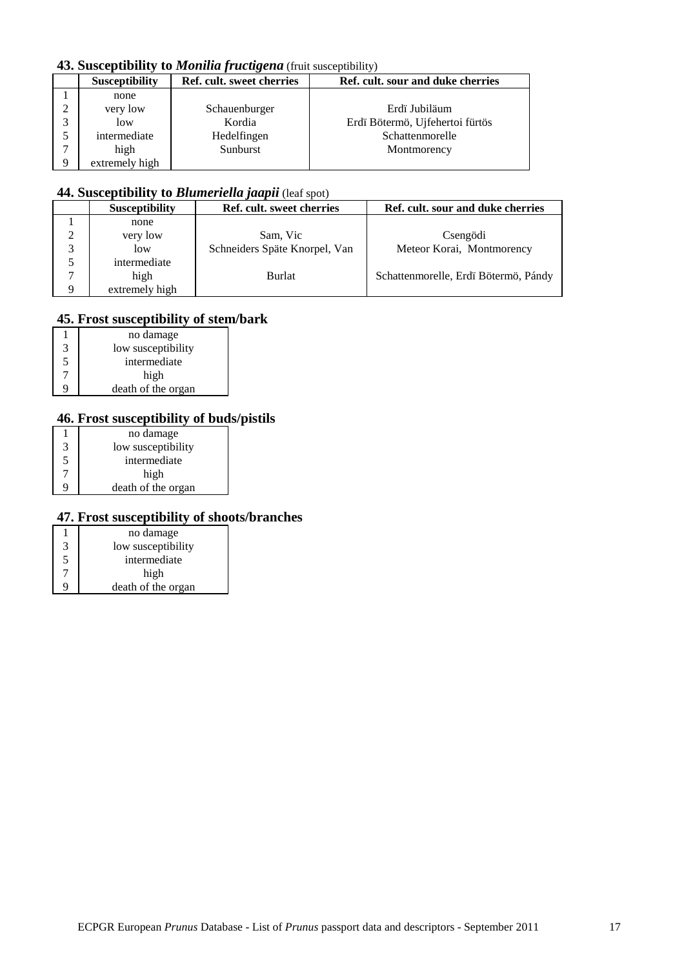## **43. Susceptibility to** *Monilia fructigena* (fruit susceptibility)

|   | <b>Susceptibility</b> | Ref. cult. sweet cherries | Ref. cult. sour and duke cherries |
|---|-----------------------|---------------------------|-----------------------------------|
|   |                       |                           |                                   |
|   | none                  |                           |                                   |
| ◠ | very low              | Schauenburger             | Erdi Jubiläum                     |
| 3 | low                   | Kordia                    | Erdï Bötermö, Ujfehertoi fürtös   |
|   | intermediate          | Hedelfingen               | Schattenmorelle                   |
| ⇁ | high                  | Sunburst                  | Montmorency                       |
| Q | extremely high        |                           |                                   |

## **44. Susceptibility to** *Blumeriella jaapii* (leaf spot)

|   | <b>Susceptibility</b> | Ref. cult. sweet cherries     | Ref. cult. sour and duke cherries    |
|---|-----------------------|-------------------------------|--------------------------------------|
|   | none                  |                               |                                      |
| ∍ | very low              | Sam, Vic                      | Csengödi                             |
| 3 | low                   | Schneiders Späte Knorpel, Van | Meteor Korai, Montmorency            |
| 5 | intermediate          |                               |                                      |
| ⇁ | high                  | <b>Burlat</b>                 | Schattenmorelle, Erdï Bötermö, Pándy |
| Q | extremely high        |                               |                                      |

## **45. Frost susceptibility of stem/bark**

|   | no damage          |  |
|---|--------------------|--|
| 3 | low susceptibility |  |
| 5 | intermediate       |  |
| 7 | high               |  |
| 9 | death of the organ |  |

## **46. Frost susceptibility of buds/pistils**

|   | no damage          |
|---|--------------------|
| 3 | low susceptibility |
| 5 | intermediate       |
|   | high               |
| q | death of the organ |
|   |                    |

## **47. Frost susceptibility of shoots/branches**

|   | no damage          |
|---|--------------------|
| 3 | low susceptibility |
| 5 | intermediate       |
|   | high               |
| Q | death of the organ |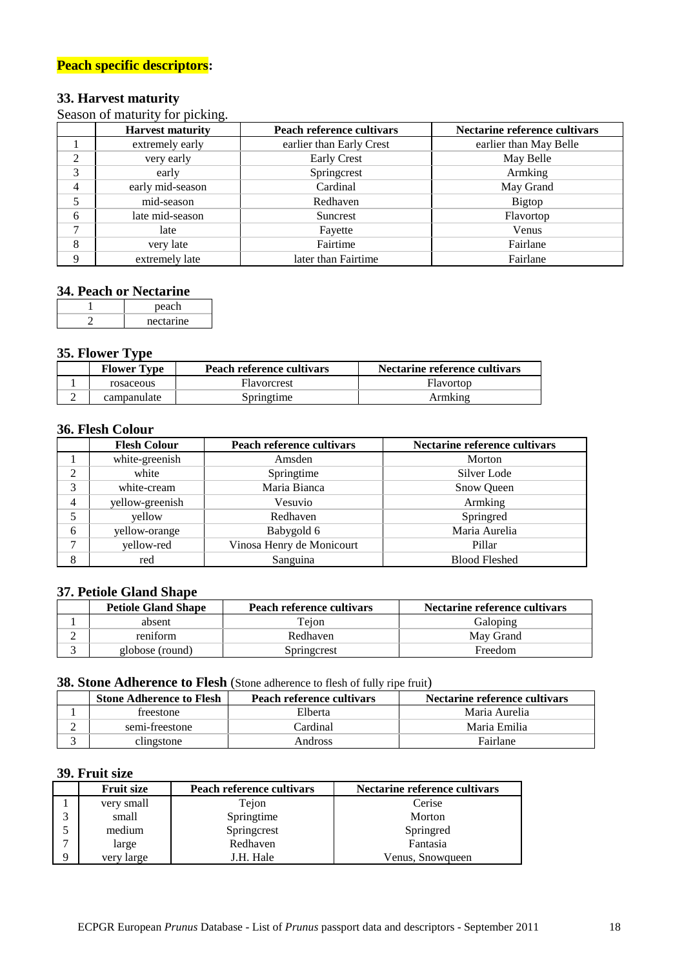## **Peach specific descriptors:**

## **33. Harvest maturity**

Season of maturity for picking.

|                | <b>Harvest maturity</b> | Peach reference cultivars | Nectarine reference cultivars |
|----------------|-------------------------|---------------------------|-------------------------------|
|                | extremely early         | earlier than Early Crest  | earlier than May Belle        |
| $\overline{c}$ | very early              | <b>Early Crest</b>        | May Belle                     |
| 3              | early                   | Springcrest               | Armking                       |
| 4              | early mid-season        | Cardinal                  | May Grand                     |
|                | mid-season              | Redhaven                  | <b>Bigtop</b>                 |
| 6              | late mid-season         | Suncrest                  | Flavortop                     |
|                | late                    | Fayette                   | Venus                         |
| 8              | very late               | Fairtime                  | Fairlane                      |
| Q              | extremely late          | later than Fairtime       | Fairlane                      |

#### **34. Peach or Nectarine**

| neach     |
|-----------|
| nectarine |

#### **35. Flower Type**

| <b>Flower Type</b> | Peach reference cultivars | Nectarine reference cultivars |
|--------------------|---------------------------|-------------------------------|
| rosaceous          | <b>Flavorcrest</b>        | Flavortop                     |
| campanulate        | Springtime                | Armking                       |

#### **36. Flesh Colour**

|   | <b>Flesh Colour</b> | Peach reference cultivars | Nectarine reference cultivars |
|---|---------------------|---------------------------|-------------------------------|
|   | white-greenish      | Amsden                    | Morton                        |
| 2 | white               | Springtime                | Silver Lode                   |
| 3 | white-cream         | Maria Bianca              | Snow Queen                    |
| 4 | yellow-greenish     | Vesuvio                   | Armking                       |
|   | yellow              | Redhaven                  | Springred                     |
| 6 | yellow-orange       | Babygold 6                | Maria Aurelia                 |
| ⇁ | yellow-red          | Vinosa Henry de Monicourt | Pillar                        |
| 8 | red                 | Sanguina                  | <b>Blood Fleshed</b>          |

#### **37. Petiole Gland Shape**

|   | <b>Petiole Gland Shape</b> | Peach reference cultivars | Nectarine reference cultivars |
|---|----------------------------|---------------------------|-------------------------------|
|   | absent                     | Tejon                     | Galoping                      |
| ∸ | reniform                   | Redhaven                  | May Grand                     |
|   | globose (round)            | Springcrest               | Freedom                       |

#### **38. Stone Adherence to Flesh** (Stone adherence to flesh of fully ripe fruit)

| <b>Stone Adherence to Flesh</b> | Peach reference cultivars | Nectarine reference cultivars |
|---------------------------------|---------------------------|-------------------------------|
| freestone                       | Elberta                   | Maria Aurelia                 |
| semi-freestone                  | Cardinal                  | Maria Emilia                  |
| clingstone                      | Andross                   | <b>Fairlane</b>               |

#### **39. Fruit size**

| <b>Fruit size</b> | Peach reference cultivars | Nectarine reference cultivars |
|-------------------|---------------------------|-------------------------------|
| very small        | Tejon                     | Cerise                        |
| small             | Springtime                | Morton                        |
| medium            | Springcrest               | Springred                     |
| large             | Redhaven                  | Fantasia                      |
| very large        | J.H. Hale                 | Venus, Snowqueen              |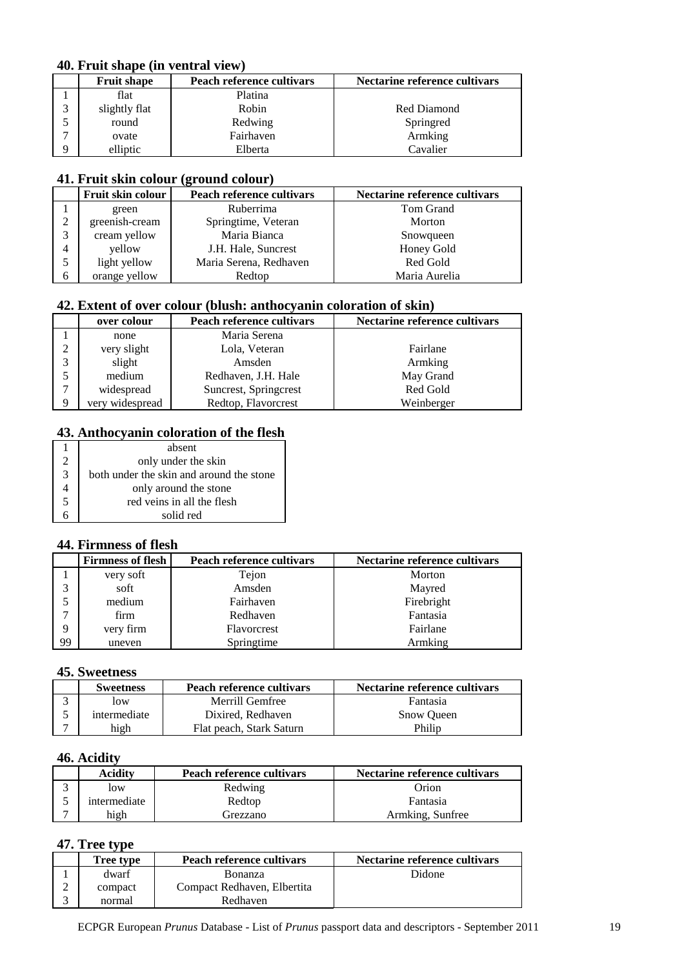## **40. Fruit shape (in ventral view)**

|   | <b>Fruit shape</b> | Peach reference cultivars | Nectarine reference cultivars |  |
|---|--------------------|---------------------------|-------------------------------|--|
|   | flat               | Platina                   |                               |  |
| 3 | slightly flat      | Robin                     | Red Diamond                   |  |
|   | round              | Redwing                   | Springred                     |  |
| − | ovate              | Fairhaven                 | Armking                       |  |
| Q | elliptic           | Elberta                   | Cavalier                      |  |

### **41. Fruit skin colour (ground colour)**

|   | Fruit skin colour | Peach reference cultivars | Nectarine reference cultivars |
|---|-------------------|---------------------------|-------------------------------|
|   | green             | Ruberrima                 | Tom Grand                     |
| っ | greenish-cream    | Springtime, Veteran       | Morton                        |
| 3 | cream yellow      | Maria Bianca              | Snowqueen                     |
| 4 | yellow            | J.H. Hale, Suncrest       | Honey Gold                    |
|   | light yellow      | Maria Serena, Redhaven    | Red Gold                      |
| 6 | orange yellow     | Redtop                    | Maria Aurelia                 |

## **42. Extent of over colour (blush: anthocyanin coloration of skin)**

|   | over colour     | Peach reference cultivars | Nectarine reference cultivars |
|---|-----------------|---------------------------|-------------------------------|
|   | none            | Maria Serena              |                               |
| າ | very slight     | Lola, Veteran             | Fairlane                      |
| 3 | slight          | Amsden                    | Armking                       |
|   | medium          | Redhaven, J.H. Hale       | May Grand                     |
| ⇁ | widespread      | Suncrest, Springcrest     | Red Gold                      |
| Q | very widespread | Redtop, Flavorcrest       | Weinberger                    |

## **43. Anthocyanin coloration of the flesh**

|   | absent                                   |
|---|------------------------------------------|
| 2 | only under the skin                      |
| 3 | both under the skin and around the stone |
|   | only around the stone                    |
| 5 | red veins in all the flesh               |
|   | solid red                                |

### **44. Firmness of flesh**

|                         | <b>Firmness of flesh</b> | Peach reference cultivars | Nectarine reference cultivars |
|-------------------------|--------------------------|---------------------------|-------------------------------|
|                         | very soft                | Tejon                     | Morton                        |
| $\overline{\mathbf{c}}$ | soft                     | Amsden                    | Mayred                        |
|                         | medium                   | Fairhaven                 | Firebright                    |
| ⇁                       | firm                     | Redhaven                  | Fantasia                      |
| 9                       | very firm                | Flavorcrest               | Fairlane                      |
| 99                      | uneven                   | Springtime                | Armking                       |

### **45. Sweetness**

|   | <b>Sweetness</b> | Peach reference cultivars | Nectarine reference cultivars |
|---|------------------|---------------------------|-------------------------------|
|   | low              | Merrill Gemfree           | Fantasia                      |
| - | intermediate     | Dixired. Redhaven         | <b>Snow Oueen</b>             |
|   | high             | Flat peach, Stark Saturn  | Philip                        |

### **46. Acidity**

| <b>Acidity</b> | Peach reference cultivars | Nectarine reference cultivars |
|----------------|---------------------------|-------------------------------|
| low            | Redwing                   | Orion                         |
| intermediate   | Redtop                    | Fantasia                      |
| high           | Grezzano                  | Armking, Sunfree              |

### **47. Tree type**

| Tree type | Peach reference cultivars   | Nectarine reference cultivars |
|-----------|-----------------------------|-------------------------------|
| dwarf     | Bonanza                     | Didone                        |
| compact   | Compact Redhaven, Elbertita |                               |
| normal    | Redhaven                    |                               |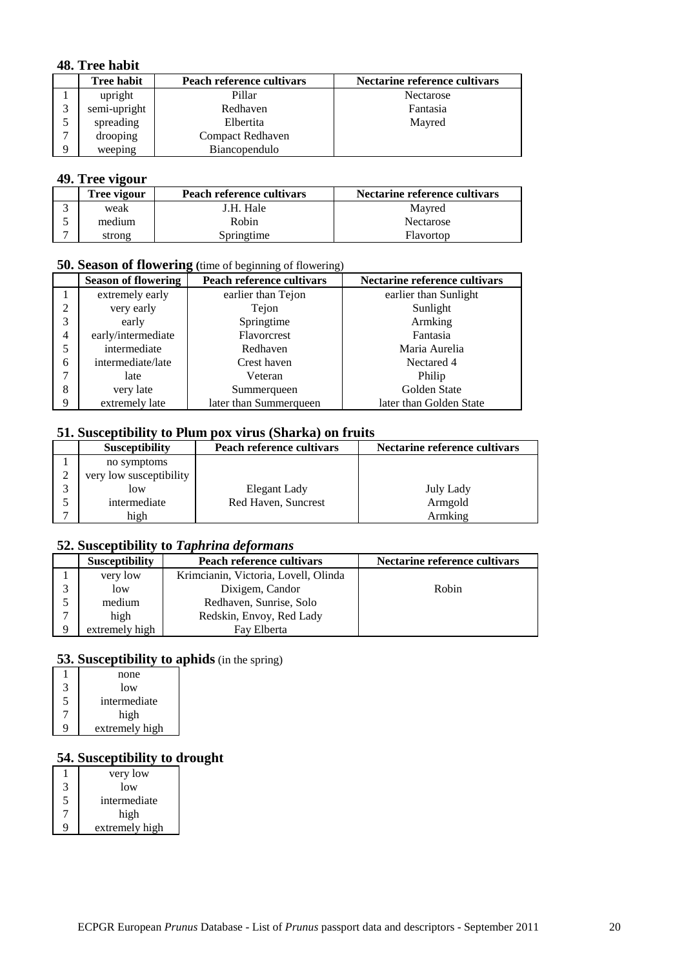### **48. Tree habit**

|   | <b>Tree habit</b> | Peach reference cultivars | Nectarine reference cultivars |
|---|-------------------|---------------------------|-------------------------------|
|   | upright           | Pillar                    | Nectarose                     |
| ⌒ | semi-upright      | Redhaven                  | Fantasia                      |
|   | spreading         | Elbertita                 | Mayred                        |
| − | drooping          | Compact Redhaven          |                               |
| Q | weeping           | Biancopendulo             |                               |

### **49. Tree vigour**

| Tree vigour | Peach reference cultivars | Nectarine reference cultivars |
|-------------|---------------------------|-------------------------------|
| weak        | J.H. Hale                 | Mayred                        |
| medium      | <b>Robin</b>              | Nectarose                     |
| strong      | Springtime                | Flavortop                     |

### **50. Season of flowering (**time of beginning of flowering)

|   | <b>Season of flowering</b> | Peach reference cultivars | Nectarine reference cultivars |
|---|----------------------------|---------------------------|-------------------------------|
|   | extremely early            | earlier than Tejon        | earlier than Sunlight         |
| 2 | very early                 | Tejon                     | Sunlight                      |
| 3 | early                      | Springtime                | Armking                       |
| 4 | early/intermediate         | Flavorcrest               | Fantasia                      |
| 5 | intermediate               | Redhaven                  | Maria Aurelia                 |
| 6 | intermediate/late          | Crest haven               | Nectared 4                    |
|   | late                       | Veteran                   | Philip                        |
| 8 | very late                  | Summerqueen               | Golden State                  |
| 9 | extremely late             | later than Summerqueen    | later than Golden State       |

### **51. Susceptibility to Plum pox virus (Sharka) on fruits**

| <b>Susceptibility</b>   | Peach reference cultivars | Nectarine reference cultivars |  |
|-------------------------|---------------------------|-------------------------------|--|
| no symptoms             |                           |                               |  |
| very low susceptibility |                           |                               |  |
| low                     | Elegant Lady              | July Lady                     |  |
| intermediate            | Red Haven, Suncrest       | Armgold                       |  |
| high                    |                           | Armking                       |  |

### **52. Susceptibility to** *Taphrina deformans*

| <b>Susceptibility</b> | Peach reference cultivars            | Nectarine reference cultivars |
|-----------------------|--------------------------------------|-------------------------------|
| very low              | Krimcianin, Victoria, Lovell, Olinda |                               |
| low                   | Dixigem, Candor                      | Robin                         |
| medium                | Redhaven, Sunrise, Solo              |                               |
| high                  | Redskin, Envoy, Red Lady             |                               |
| extremely high        | Fav Elberta                          |                               |

## **53. Susceptibility to aphids** (in the spring)

|   | none           |
|---|----------------|
| 3 | low            |
| 5 | intermediate   |
|   | high           |
|   | extremely high |

## **54. Susceptibility to drought**

|   | very low       |
|---|----------------|
| 3 | low            |
| 5 | intermediate   |
|   | high           |
| O | extremely high |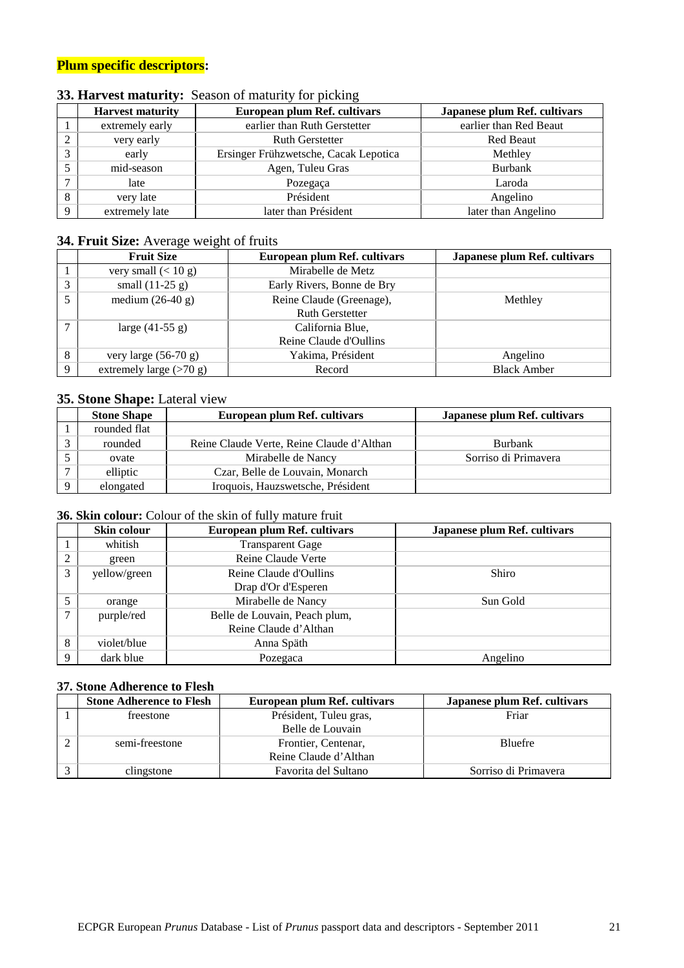## **Plum specific descriptors:**

### **33. Harvest maturity:** Season of maturity for picking

|   | <b>Harvest maturity</b> | European plum Ref. cultivars          | Japanese plum Ref. cultivars |  |
|---|-------------------------|---------------------------------------|------------------------------|--|
|   | extremely early         | earlier than Ruth Gerstetter          | earlier than Red Beaut       |  |
|   | very early              | <b>Ruth Gerstetter</b>                | <b>Red Beaut</b>             |  |
| 3 | early                   | Ersinger Frühzwetsche, Cacak Lepotica | Methley                      |  |
|   | mid-season              | Agen, Tuleu Gras                      | <b>Burbank</b>               |  |
|   | late                    | Pozegaça                              | Laroda                       |  |
| 8 | very late               | Président                             | Angelino                     |  |
| 9 | extremely late          | later than Président                  | later than Angelino          |  |

## **34. Fruit Size:** Average weight of fruits

|   | <b>Fruit Size</b>                 | European plum Ref. cultivars                       | Japanese plum Ref. cultivars |
|---|-----------------------------------|----------------------------------------------------|------------------------------|
|   | very small $(< 10 g)$             | Mirabelle de Metz                                  |                              |
| 3 | small $(11-25 g)$                 | Early Rivers, Bonne de Bry                         |                              |
|   | medium $(26-40 g)$                | Reine Claude (Greenage),<br><b>Ruth Gerstetter</b> | Methley                      |
|   | large $(41-55 g)$                 | California Blue,<br>Reine Claude d'Oullins         |                              |
| 8 | very large $(56-70 g)$            | Yakima, Président                                  | Angelino                     |
| Q | extremely large $(>70 \text{ g})$ | Record                                             | <b>Black Amber</b>           |

### **35. Stone Shape:** Lateral view

| <b>Stone Shape</b> | European plum Ref. cultivars              | Japanese plum Ref. cultivars |
|--------------------|-------------------------------------------|------------------------------|
| rounded flat       |                                           |                              |
| rounded            | Reine Claude Verte, Reine Claude d'Althan | <b>Burbank</b>               |
| ovate              | Mirabelle de Nancy                        | Sorriso di Primavera         |
| elliptic           | Czar, Belle de Louvain, Monarch           |                              |
| elongated          | Iroquois, Hauzswetsche, Président         |                              |

### **36. Skin colour:** Colour of the skin of fully mature fruit

|   | Skin colour  | European plum Ref. cultivars  | Japanese plum Ref. cultivars |
|---|--------------|-------------------------------|------------------------------|
|   | whitish      | <b>Transparent Gage</b>       |                              |
| 2 | green        | Reine Claude Verte            |                              |
| 3 | yellow/green | Reine Claude d'Oullins        | Shiro                        |
|   |              | Drap d'Or d'Esperen           |                              |
|   | orange       | Mirabelle de Nancy            | Sun Gold                     |
|   | purple/red   | Belle de Louvain, Peach plum, |                              |
|   |              | Reine Claude d'Althan         |                              |
| 8 | violet/blue  | Anna Späth                    |                              |
| 9 | dark blue    | Pozegaca                      | Angelino                     |

### **37. Stone Adherence to Flesh**

| <b>Stone Adherence to Flesh</b> | European plum Ref. cultivars | Japanese plum Ref. cultivars |
|---------------------------------|------------------------------|------------------------------|
| freestone                       | Président, Tuleu gras,       | Friar                        |
|                                 | Belle de Louvain             |                              |
| semi-freestone                  | Frontier, Centenar,          | <b>Bluefre</b>               |
|                                 | Reine Claude d'Althan        |                              |
| clingstone                      | Favorita del Sultano         | Sorriso di Primavera         |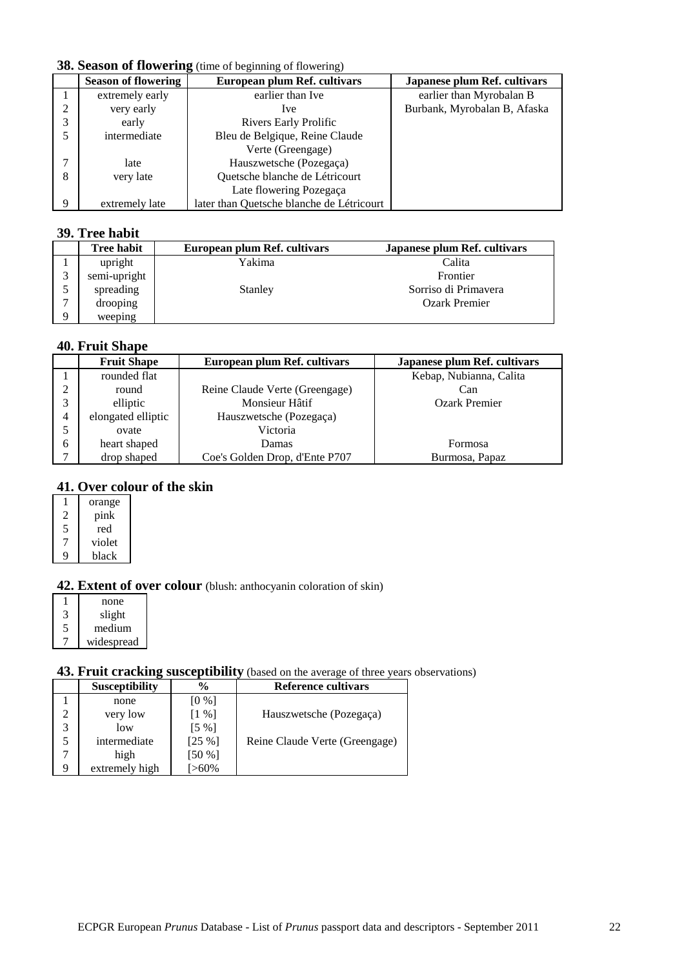### **38. Season of flowering** (time of beginning of flowering)

|   | <b>Season of flowering</b> | European plum Ref. cultivars              | Japanese plum Ref. cultivars |
|---|----------------------------|-------------------------------------------|------------------------------|
|   | extremely early            | earlier than Ive                          | earlier than Myrobalan B     |
|   | very early                 | <i>ve</i>                                 | Burbank, Myrobalan B, Afaska |
|   | early                      | <b>Rivers Early Prolific</b>              |                              |
|   | intermediate               | Bleu de Belgique, Reine Claude            |                              |
|   |                            | Verte (Greengage)                         |                              |
|   | late                       | Hauszwetsche (Pozegaça)                   |                              |
| 8 | very late                  | Quetsche blanche de Létricourt            |                              |
|   |                            | Late flowering Pozegaça                   |                              |
| 9 | extremely late             | later than Quetsche blanche de Létricourt |                              |

### **39. Tree habit**

|   | <b>Tree habit</b> | European plum Ref. cultivars | Japanese plum Ref. cultivars |  |
|---|-------------------|------------------------------|------------------------------|--|
|   | upright           | Yakima                       | Calita                       |  |
|   | semi-upright      |                              | Frontier                     |  |
|   | spreading         | Stanley                      | Sorriso di Primavera         |  |
|   | drooping          |                              | <b>Ozark Premier</b>         |  |
| Q | weeping           |                              |                              |  |

### **40. Fruit Shape**

|   | <b>Fruit Shape</b> | European plum Ref. cultivars   | Japanese plum Ref. cultivars |
|---|--------------------|--------------------------------|------------------------------|
|   | rounded flat       |                                | Kebap, Nubianna, Calita      |
|   | round              | Reine Claude Verte (Greengage) | Can                          |
|   | elliptic           | Monsieur Hâtif                 | <b>Ozark Premier</b>         |
| 4 | elongated elliptic | Hauszwetsche (Pozegaça)        |                              |
|   | ovate              | Victoria                       |                              |
| 6 | heart shaped       | <b>Damas</b>                   | Formosa                      |
|   | drop shaped        | Coe's Golden Drop, d'Ente P707 | Burmosa, Papaz               |

## **41. Over colour of the skin**

|   | orange |
|---|--------|
|   | pink   |
| 5 | red    |
|   | violet |
|   | black  |

### **42. Extent of over colour** (blush: anthocyanin coloration of skin)

| none       |
|------------|
| slight     |
| medium     |
| widespread |

### **43. Fruit cracking susceptibility** (based on the average of three years observations)

|   | <b>Susceptibility</b> | $\frac{0}{0}$ | Reference cultivars            |
|---|-----------------------|---------------|--------------------------------|
|   | none                  | $[0\%]$       |                                |
|   | very low              | [1%]          | Hauszwetsche (Pozegaça)        |
| 3 | low                   | $[5 \%]$      |                                |
|   | intermediate          | $[25\%]$      | Reine Claude Verte (Greengage) |
|   | high                  | [50 %]        |                                |
| Q | extremely high        | $>60\%$       |                                |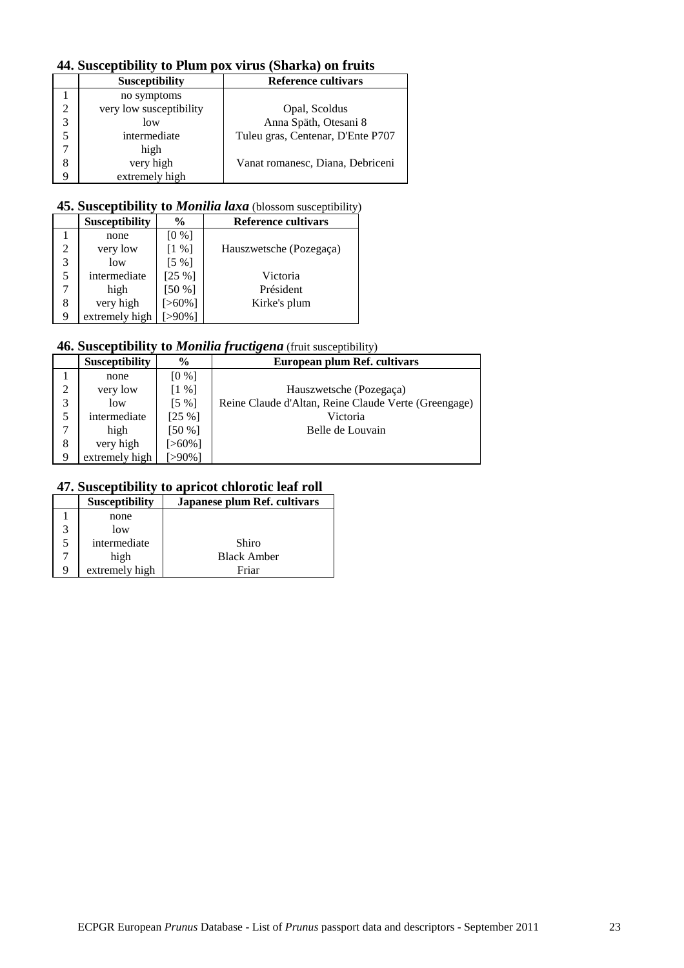## **44. Susceptibility to Plum pox virus (Sharka) on fruits**

|                | <b>Susceptibility</b>   | <b>Reference cultivars</b>        |
|----------------|-------------------------|-----------------------------------|
|                | no symptoms             |                                   |
| $\overline{2}$ | very low susceptibility | Opal, Scoldus                     |
| 3              | low                     | Anna Späth, Otesani 8             |
| 5              | intermediate            | Tuleu gras, Centenar, D'Ente P707 |
| 7              | high                    |                                   |
| 8              | very high               | Vanat romanesc, Diana, Debriceni  |
| q              | extremely high          |                                   |

### **45. Susceptibility to** *Monilia laxa* (blossom susceptibility)

|                | <b>Susceptibility</b> | $\frac{6}{9}$ | Reference cultivars     |
|----------------|-----------------------|---------------|-------------------------|
|                | none                  | [0, 96]       |                         |
| 2              | very low              | [1%]          | Hauszwetsche (Pozegaça) |
| $\overline{3}$ | low                   | $[5 \%]$      |                         |
| 5              | intermediate          | [25%]         | Victoria                |
|                | high                  | [50%]         | Président               |
| 8              | very high             | $>60\%$ ]     | Kirke's plum            |
| 9              | extremely high        | $>90\%$ ]     |                         |

## **46. Susceptibility to** *Monilia fructigena* (fruit susceptibility)

|                | <b>Susceptibility</b> | $\frac{6}{9}$ | European plum Ref. cultivars                         |
|----------------|-----------------------|---------------|------------------------------------------------------|
|                | none                  | [0, 96]       |                                                      |
| $\overline{c}$ | very low              | $[1\%]$       | Hauszwetsche (Pozegaça)                              |
| 3              | low                   | $[5 \%]$      | Reine Claude d'Altan, Reine Claude Verte (Greengage) |
| 5              | intermediate          | $[25 \%]$     | Victoria                                             |
|                | high                  | $[50\%]$      | Belle de Louvain                                     |
| 8              | very high             | $>60\%$ ]     |                                                      |
| Q              | extremely high        | $[>90\%]$     |                                                      |

## **47. Susceptibility to apricot chlorotic leaf roll**

|   | <b>Susceptibility</b> | <b>Japanese plum Ref. cultivars</b> |
|---|-----------------------|-------------------------------------|
|   | none                  |                                     |
|   | low                   |                                     |
| 5 | intermediate          | Shiro                               |
|   | high                  | <b>Black Amber</b>                  |
| q | extremely high        | Friar                               |